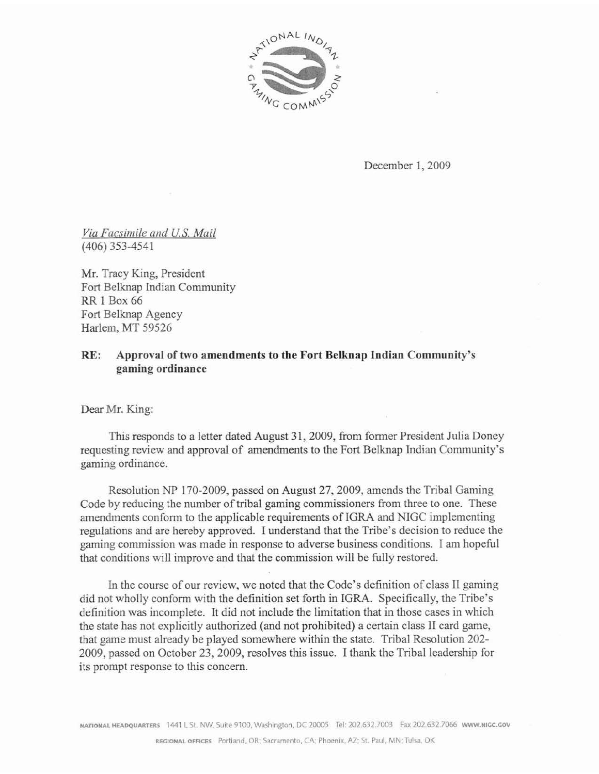

December 1,2009

**Via** *Facsimile and U.S. Mail*  (406) 353-4541

Mr. Tracy King, President Fort Belknap Indian Community RR **I Box** 66 Fork **Belknap Agency**  Harlem, MT 59526

#### **RE: Approval of two amendments to the Fort Belknap Indian Community's gaming ordinance**

Dear Mr. King:

This responds to a letter dated August 31, 2009, from former President Julia Doney requesting review and approval of amendments to **the** Fort Belknap Indian Community's gaming ordinance.

Resolution NP 170-2009, passed on **August** 27,2009, amends the Tribal Gaming Code by reducing the number of tribal **gaming** commissioners from three to one. These **amendments** conform to the applicable **requirements of** IGRA and NIGC implementing regulations and **are** hereby **approved.** I understand **that** the Tribe's decision to reduce the **gaming** commission was made in response to **adverse** business conditions. **1** am hopeful that conditions will improve and that the commission will be fully restored.

**In** the course of our review, **we** noted that the Code's definition of class II gaming did not wholly conform **with** the definition set forth in IGRA. Specifically, the Tribe's definition was incomplete. It did not include the limitation **that** in those cases in which the state has not explicitIy authorized (and not prohibited) **a** certain class I1 card game, that game must already be played somewhere within the **state.** Tribal Resolution 202- 2009, **passed** on October 23,2009, resolves this issue. I thank the Tribal leadership for its prompt response to this concern.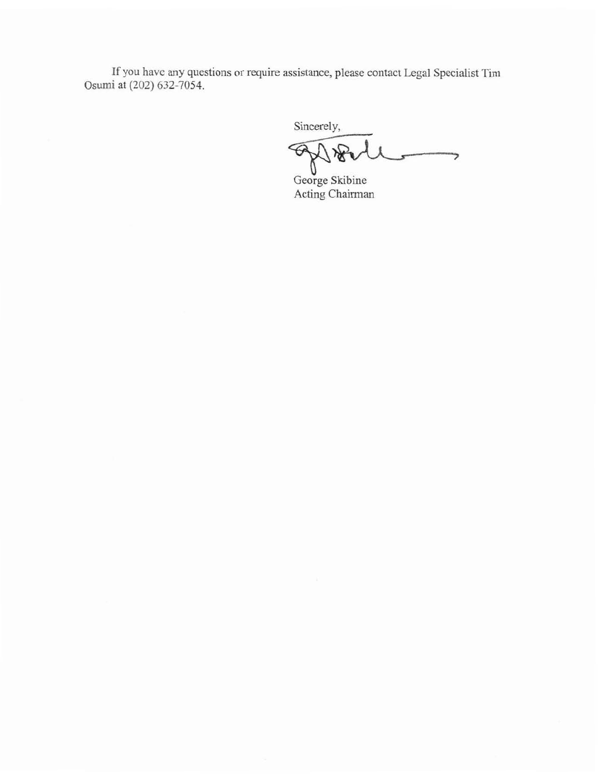**If you** have any questions or require assistance, please contact Legal Specialist Tim Osumi at (202) 632-7054.

Sincerely,

**uga Served**<br>George Skibine っ

**Acting** Chairman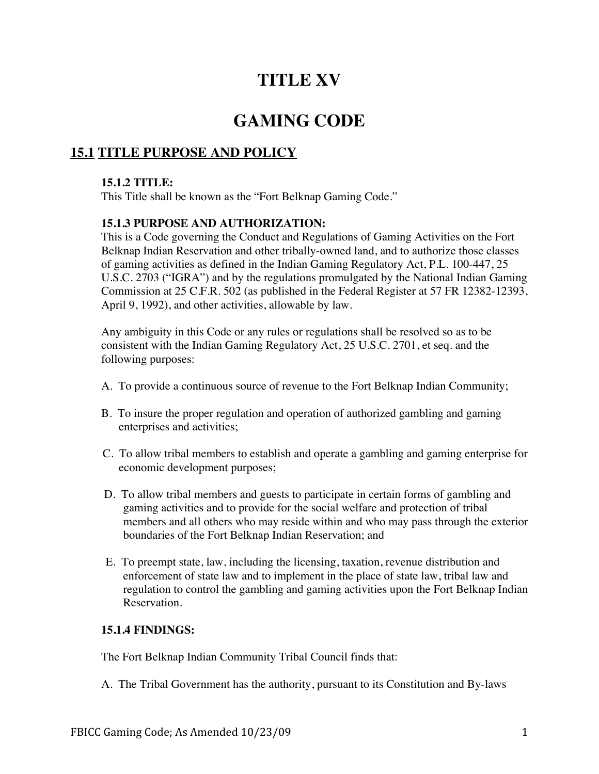# **TITLE XV**

# **GAMING CODE**

# **15.1 TITLE PURPOSE AND POLICY**

#### **15.1.2 TITLE:**

This Title shall be known as the "Fort Belknap Gaming Code."

## **15.1.3 PURPOSE AND AUTHORIZATION:**

This is a Code governing the Conduct and Regulations of Gaming Activities on the Fort Belknap Indian Reservation and other tribally-owned land, and to authorize those classes of gaming activities as defined in the Indian Gaming Regulatory Act, P.L. 100-447, 25 U.S.C. 2703 ("IGRA") and by the regulations promulgated by the National Indian Gaming Commission at 25 C.F.R. 502 (as published in the Federal Register at 57 FR 12382-12393, April 9, 1992), and other activities, allowable by law.

Any ambiguity in this Code or any rules or regulations shall be resolved so as to be consistent with the Indian Gaming Regulatory Act, 25 U.S.C. 2701, et seq. and the following purposes:

- A. To provide a continuous source of revenue to the Fort Belknap Indian Community;
- B. To insure the proper regulation and operation of authorized gambling and gaming enterprises and activities;
- C. To allow tribal members to establish and operate a gambling and gaming enterprise for economic development purposes;
- D. To allow tribal members and guests to participate in certain forms of gambling and gaming activities and to provide for the social welfare and protection of tribal members and all others who may reside within and who may pass through the exterior boundaries of the Fort Belknap Indian Reservation; and
- E. To preempt state, law, including the licensing, taxation, revenue distribution and enforcement of state law and to implement in the place of state law, tribal law and regulation to control the gambling and gaming activities upon the Fort Belknap Indian Reservation.

## **15.1.4 FINDINGS:**

The Fort Belknap Indian Community Tribal Council finds that:

A. The Tribal Government has the authority, pursuant to its Constitution and By-laws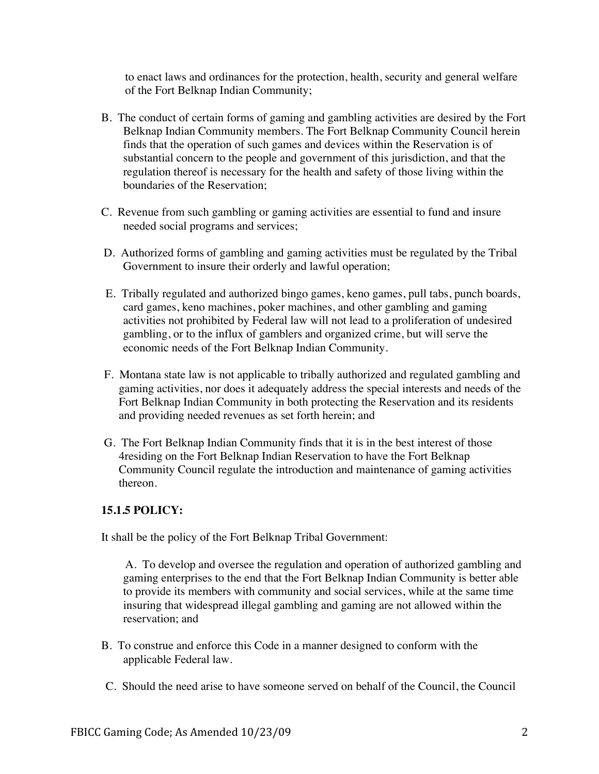to enact laws and ordinances for the protection, health, security and general welfare of the Fort Belknap Indian Community;

- B. The conduct of certain forms of gaming and gambling activities are desired by the Fort Belknap Indian Community members. The Fort Belknap Community Council herein finds that the operation of such games and devices within the Reservation is of substantial concern to the people and government of this jurisdiction, and that the regulation thereof is necessary for the health and safety of those living within the boundaries of the Reservation;
- C. Revenue from such gambling or gaming activities are essential to fund and insure needed social programs and services;
- D. Authorized forms of gambling and gaming activities must be regulated by the Tribal Government to insure their orderly and lawful operation;
- E. Tribally regulated and authorized bingo games, keno games, pull tabs, punch boards, card games, keno machines, poker machines, and other gambling and gaming activities not prohibited by Federal law will not lead to a proliferation of undesired gambling, or to the influx of gamblers and organized crime, but will serve the economic needs of the Fort Belknap Indian Community.
- F. Montana state law is not applicable to tribally authorized and regulated gambling and gaming activities, nor does it adequately address the special interests and needs of the Fort Belknap Indian Community in both protecting the Reservation and its residents and providing needed revenues as set forth herein; and
- G. The Fort Belknap Indian Community finds that it is in the best interest of those 4residing on the Fort Belknap Indian Reservation to have the Fort Belknap Community Council regulate the introduction and maintenance of gaming activities thereon.

## **15.1.5 POLICY:**

It shall be the policy of the Fort Belknap Tribal Government:

A. To develop and oversee the regulation and operation of authorized gambling and gaming enterprises to the end that the Fort Belknap Indian Community is better able to provide its members with community and social services, while at the same time insuring that widespread illegal gambling and gaming are not allowed within the reservation; and

- B. To construe and enforce this Code in a manner designed to conform with the applicable Federal law.
- C. Should the need arise to have someone served on behalf of the Council, the Council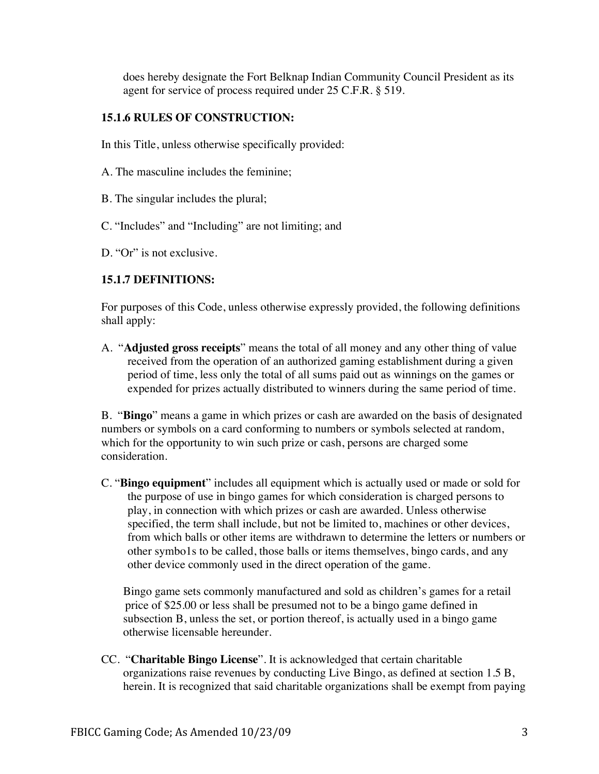does hereby designate the Fort Belknap Indian Community Council President as its agent for service of process required under 25 C.F.R. § 519.

#### **15.1.6 RULES OF CONSTRUCTION:**

In this Title, unless otherwise specifically provided:

- A. The masculine includes the feminine;
- B. The singular includes the plural;
- C. "Includes" and "Including" are not limiting; and
- D. "Or" is not exclusive.

## **15.1.7 DEFINITIONS:**

For purposes of this Code, unless otherwise expressly provided, the following definitions shall apply:

A. "**Adjusted gross receipts**" means the total of all money and any other thing of value received from the operation of an authorized gaming establishment during a given period of time, less only the total of all sums paid out as winnings on the games or expended for prizes actually distributed to winners during the same period of time.

B. "**Bingo**" means a game in which prizes or cash are awarded on the basis of designated numbers or symbols on a card conforming to numbers or symbols selected at random, which for the opportunity to win such prize or cash, persons are charged some consideration.

C. "**Bingo equipment**" includes all equipment which is actually used or made or sold for the purpose of use in bingo games for which consideration is charged persons to play, in connection with which prizes or cash are awarded. Unless otherwise specified, the term shall include, but not be limited to, machines or other devices, from which balls or other items are withdrawn to determine the letters or numbers or other symbo1s to be called, those balls or items themselves, bingo cards, and any other device commonly used in the direct operation of the game.

Bingo game sets commonly manufactured and sold as children's games for a retail price of \$25.00 or less shall be presumed not to be a bingo game defined in subsection B, unless the set, or portion thereof, is actually used in a bingo game otherwise licensable hereunder.

CC. "**Charitable Bingo License**". It is acknowledged that certain charitable organizations raise revenues by conducting Live Bingo, as defined at section 1.5 B, herein. It is recognized that said charitable organizations shall be exempt from paying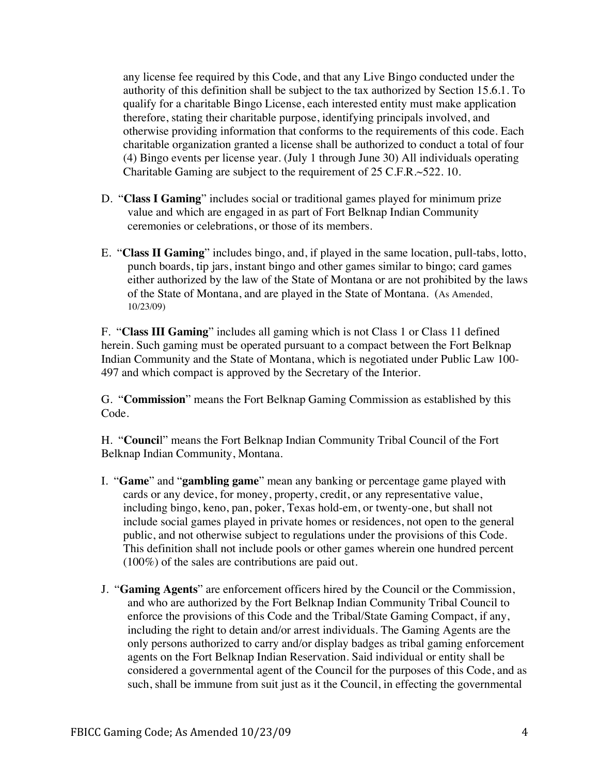any license fee required by this Code, and that any Live Bingo conducted under the authority of this definition shall be subject to the tax authorized by Section 15.6.1. To qualify for a charitable Bingo License, each interested entity must make application therefore, stating their charitable purpose, identifying principals involved, and otherwise providing information that conforms to the requirements of this code. Each charitable organization granted a license shall be authorized to conduct a total of four (4) Bingo events per license year. (July 1 through June 30) All individuals operating Charitable Gaming are subject to the requirement of 25 C.F.R.~522. 10.

- D. "**Class I Gaming**" includes social or traditional games played for minimum prize value and which are engaged in as part of Fort Belknap Indian Community ceremonies or celebrations, or those of its members.
- E. "**Class II Gaming**" includes bingo, and, if played in the same location, pull-tabs, lotto, punch boards, tip jars, instant bingo and other games similar to bingo; card games either authorized by the law of the State of Montana or are not prohibited by the laws of the State of Montana, and are played in the State of Montana. (As Amended, 10/23/09)

F. "**Class III Gaming**" includes all gaming which is not Class 1 or Class 11 defined herein. Such gaming must be operated pursuant to a compact between the Fort Belknap Indian Community and the State of Montana, which is negotiated under Public Law 100- 497 and which compact is approved by the Secretary of the Interior.

G. "**Commission**" means the Fort Belknap Gaming Commission as established by this Code.

H. "**Counci**l" means the Fort Belknap Indian Community Tribal Council of the Fort Belknap Indian Community, Montana.

- I. "**Game**" and "**gambling game**" mean any banking or percentage game played with cards or any device, for money, property, credit, or any representative value, including bingo, keno, pan, poker, Texas hold-em, or twenty-one, but shall not include social games played in private homes or residences, not open to the general public, and not otherwise subject to regulations under the provisions of this Code. This definition shall not include pools or other games wherein one hundred percent (100%) of the sales are contributions are paid out.
- J. "**Gaming Agents**" are enforcement officers hired by the Council or the Commission, and who are authorized by the Fort Belknap Indian Community Tribal Council to enforce the provisions of this Code and the Tribal/State Gaming Compact, if any, including the right to detain and/or arrest individuals. The Gaming Agents are the only persons authorized to carry and/or display badges as tribal gaming enforcement agents on the Fort Belknap Indian Reservation. Said individual or entity shall be considered a governmental agent of the Council for the purposes of this Code, and as such, shall be immune from suit just as it the Council, in effecting the governmental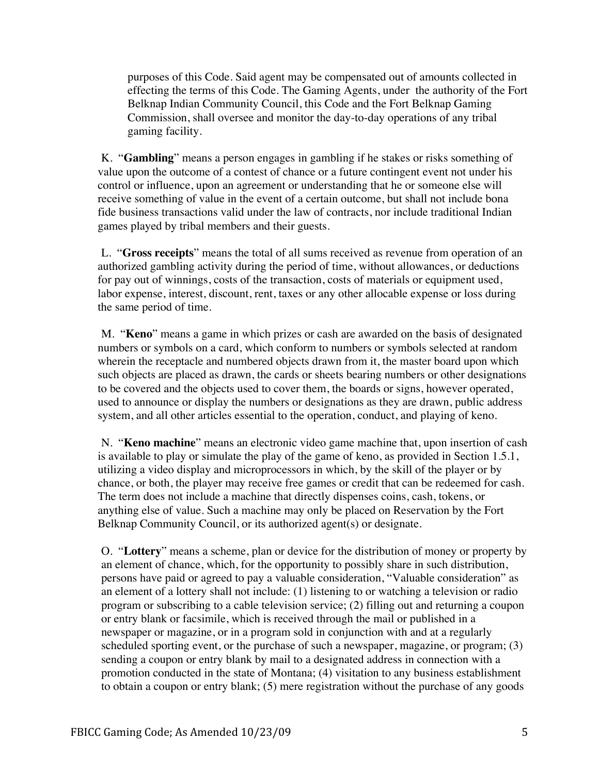purposes of this Code. Said agent may be compensated out of amounts collected in effecting the terms of this Code. The Gaming Agents, under the authority of the Fort Belknap Indian Community Council, this Code and the Fort Belknap Gaming Commission, shall oversee and monitor the day-to-day operations of any tribal gaming facility.

K. "**Gambling**" means a person engages in gambling if he stakes or risks something of value upon the outcome of a contest of chance or a future contingent event not under his control or influence, upon an agreement or understanding that he or someone else will receive something of value in the event of a certain outcome, but shall not include bona fide business transactions valid under the law of contracts, nor include traditional Indian games played by tribal members and their guests.

L. "**Gross receipts**" means the total of all sums received as revenue from operation of an authorized gambling activity during the period of time, without allowances, or deductions for pay out of winnings, costs of the transaction, costs of materials or equipment used, labor expense, interest, discount, rent, taxes or any other allocable expense or loss during the same period of time.

M. "**Keno**" means a game in which prizes or cash are awarded on the basis of designated numbers or symbols on a card, which conform to numbers or symbols selected at random wherein the receptacle and numbered objects drawn from it, the master board upon which such objects are placed as drawn, the cards or sheets bearing numbers or other designations to be covered and the objects used to cover them, the boards or signs, however operated, used to announce or display the numbers or designations as they are drawn, public address system, and all other articles essential to the operation, conduct, and playing of keno.

N. "**Keno machine**" means an electronic video game machine that, upon insertion of cash is available to play or simulate the play of the game of keno, as provided in Section 1.5.1, utilizing a video display and microprocessors in which, by the skill of the player or by chance, or both, the player may receive free games or credit that can be redeemed for cash. The term does not include a machine that directly dispenses coins, cash, tokens, or anything else of value. Such a machine may only be placed on Reservation by the Fort Belknap Community Council, or its authorized agent(s) or designate.

O. "**Lottery**" means a scheme, plan or device for the distribution of money or property by an element of chance, which, for the opportunity to possibly share in such distribution, persons have paid or agreed to pay a valuable consideration, "Valuable consideration" as an element of a lottery shall not include: (1) listening to or watching a television or radio program or subscribing to a cable television service; (2) filling out and returning a coupon or entry blank or facsimile, which is received through the mail or published in a newspaper or magazine, or in a program sold in conjunction with and at a regularly scheduled sporting event, or the purchase of such a newspaper, magazine, or program; (3) sending a coupon or entry blank by mail to a designated address in connection with a promotion conducted in the state of Montana; (4) visitation to any business establishment to obtain a coupon or entry blank; (5) mere registration without the purchase of any goods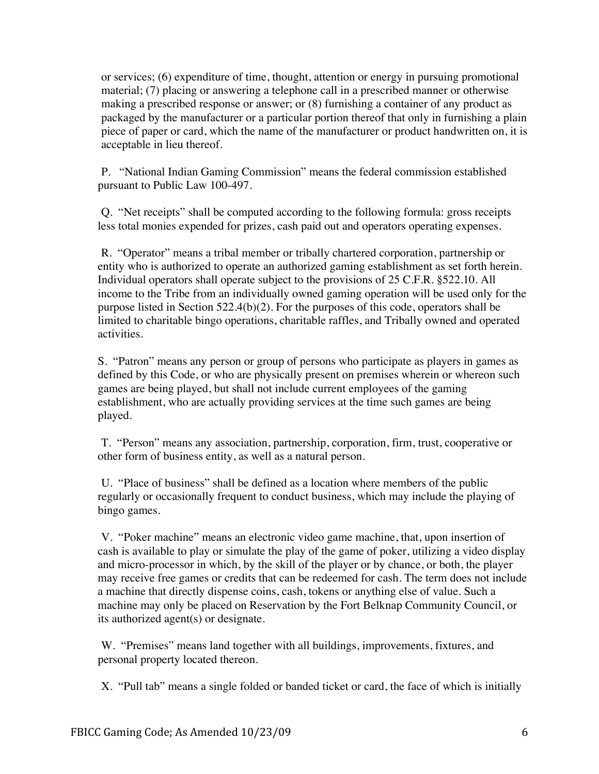or services; (6) expenditure of time, thought, attention or energy in pursuing promotional material; (7) placing or answering a telephone call in a prescribed manner or otherwise making a prescribed response or answer; or (8) furnishing a container of any product as packaged by the manufacturer or a particular portion thereof that only in furnishing a plain piece of paper or card, which the name of the manufacturer or product handwritten on, it is acceptable in lieu thereof.

P. "National Indian Gaming Commission" means the federal commission established pursuant to Public Law 100-497.

Q. "Net receipts" shall be computed according to the following formula: gross receipts less total monies expended for prizes, cash paid out and operators operating expenses.

R. "Operator" means a tribal member or tribally chartered corporation, partnership or entity who is authorized to operate an authorized gaming establishment as set forth herein. Individual operators shall operate subject to the provisions of 25 C.F.R. §522.10. All income to the Tribe from an individually owned gaming operation will be used only for the purpose listed in Section 522.4(b)(2). For the purposes of this code, operators shall be limited to charitable bingo operations, charitable raffles, and Tribally owned and operated activities.

S. "Patron" means any person or group of persons who participate as players in games as defined by this Code, or who are physically present on premises wherein or whereon such games are being played, but shall not include current employees of the gaming establishment, who are actually providing services at the time such games are being played.

T. "Person" means any association, partnership, corporation, firm, trust, cooperative or other form of business entity, as well as a natural person.

U. "Place of business" shall be defined as a location where members of the public regularly or occasionally frequent to conduct business, which may include the playing of bingo games.

V. "Poker machine" means an electronic video game machine, that, upon insertion of cash is available to play or simulate the play of the game of poker, utilizing a video display and micro-processor in which, by the skill of the player or by chance, or both, the player may receive free games or credits that can be redeemed for cash. The term does not include a machine that directly dispense coins, cash, tokens or anything else of value. Such a machine may only be placed on Reservation by the Fort Belknap Community Council, or its authorized agent(s) or designate.

W. "Premises" means land together with all buildings, improvements, fixtures, and personal property located thereon.

X. "Pull tab" means a single folded or banded ticket or card, the face of which is initially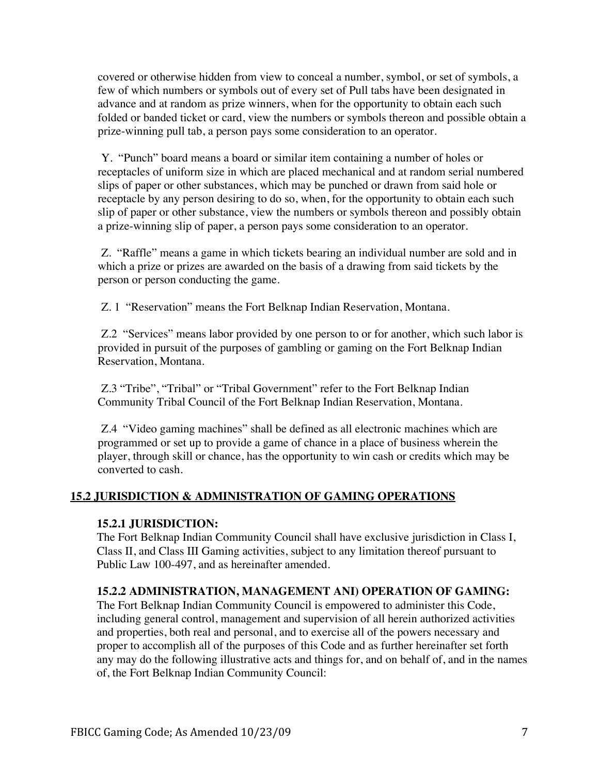covered or otherwise hidden from view to conceal a number, symbol, or set of symbols, a few of which numbers or symbols out of every set of Pull tabs have been designated in advance and at random as prize winners, when for the opportunity to obtain each such folded or banded ticket or card, view the numbers or symbols thereon and possible obtain a prize-winning pull tab, a person pays some consideration to an operator.

Y. "Punch" board means a board or similar item containing a number of holes or receptacles of uniform size in which are placed mechanical and at random serial numbered slips of paper or other substances, which may be punched or drawn from said hole or receptacle by any person desiring to do so, when, for the opportunity to obtain each such slip of paper or other substance, view the numbers or symbols thereon and possibly obtain a prize-winning slip of paper, a person pays some consideration to an operator.

Z. "Raffle" means a game in which tickets bearing an individual number are sold and in which a prize or prizes are awarded on the basis of a drawing from said tickets by the person or person conducting the game.

Z. 1 "Reservation" means the Fort Belknap Indian Reservation, Montana.

Z.2 "Services" means labor provided by one person to or for another, which such labor is provided in pursuit of the purposes of gambling or gaming on the Fort Belknap Indian Reservation, Montana.

Z.3 "Tribe", "Tribal" or "Tribal Government" refer to the Fort Belknap Indian Community Tribal Council of the Fort Belknap Indian Reservation, Montana.

Z.4 "Video gaming machines" shall be defined as all electronic machines which are programmed or set up to provide a game of chance in a place of business wherein the player, through skill or chance, has the opportunity to win cash or credits which may be converted to cash.

## **15.2 JURISDICTION & ADMINISTRATION OF GAMING OPERATIONS**

## **15.2.1 JURISDICTION:**

The Fort Belknap Indian Community Council shall have exclusive jurisdiction in Class I, Class II, and Class III Gaming activities, subject to any limitation thereof pursuant to Public Law 100-497, and as hereinafter amended.

## **15.2.2 ADMINISTRATION, MANAGEMENT ANI) OPERATION OF GAMING:**

The Fort Belknap Indian Community Council is empowered to administer this Code, including general control, management and supervision of all herein authorized activities and properties, both real and personal, and to exercise all of the powers necessary and proper to accomplish all of the purposes of this Code and as further hereinafter set forth any may do the following illustrative acts and things for, and on behalf of, and in the names of, the Fort Belknap Indian Community Council: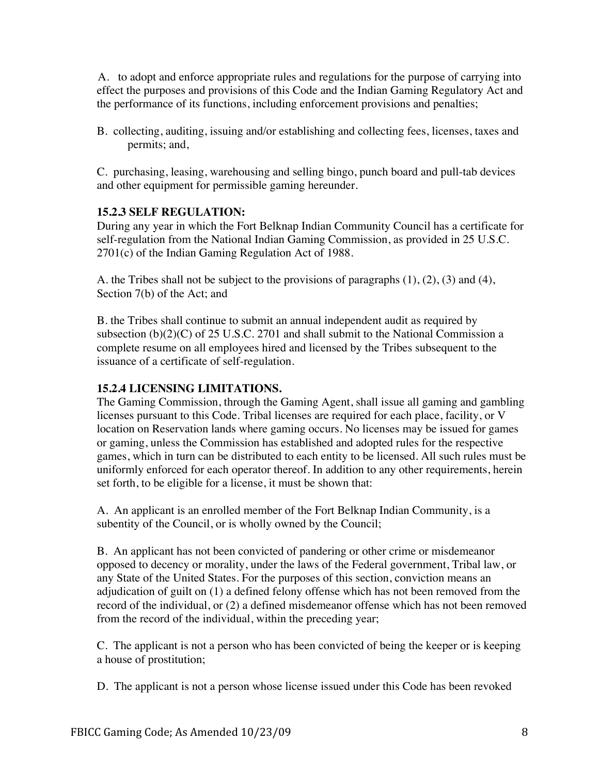A. to adopt and enforce appropriate rules and regulations for the purpose of carrying into effect the purposes and provisions of this Code and the Indian Gaming Regulatory Act and the performance of its functions, including enforcement provisions and penalties;

B. collecting, auditing, issuing and/or establishing and collecting fees, licenses, taxes and permits; and,

C. purchasing, leasing, warehousing and selling bingo, punch board and pull-tab devices and other equipment for permissible gaming hereunder.

## **15.2.3 SELF REGULATION:**

During any year in which the Fort Belknap Indian Community Council has a certificate for self-regulation from the National Indian Gaming Commission, as provided in 25 U.S.C. 2701(c) of the Indian Gaming Regulation Act of 1988.

A. the Tribes shall not be subject to the provisions of paragraphs  $(1)$ ,  $(2)$ ,  $(3)$  and  $(4)$ , Section 7(b) of the Act; and

B. the Tribes shall continue to submit an annual independent audit as required by subsection (b)(2)(C) of 25 U.S.C. 2701 and shall submit to the National Commission a complete resume on all employees hired and licensed by the Tribes subsequent to the issuance of a certificate of self-regulation.

## **15.2.4 LICENSING LIMITATIONS.**

The Gaming Commission, through the Gaming Agent, shall issue all gaming and gambling licenses pursuant to this Code. Tribal licenses are required for each place, facility, or V location on Reservation lands where gaming occurs. No licenses may be issued for games or gaming, unless the Commission has established and adopted rules for the respective games, which in turn can be distributed to each entity to be licensed. All such rules must be uniformly enforced for each operator thereof. In addition to any other requirements, herein set forth, to be eligible for a license, it must be shown that:

A. An applicant is an enrolled member of the Fort Belknap Indian Community, is a subentity of the Council, or is wholly owned by the Council;

B. An applicant has not been convicted of pandering or other crime or misdemeanor opposed to decency or morality, under the laws of the Federal government, Tribal law, or any State of the United States. For the purposes of this section, conviction means an adjudication of guilt on (1) a defined felony offense which has not been removed from the record of the individual, or (2) a defined misdemeanor offense which has not been removed from the record of the individual, within the preceding year;

C. The applicant is not a person who has been convicted of being the keeper or is keeping a house of prostitution;

D. The applicant is not a person whose license issued under this Code has been revoked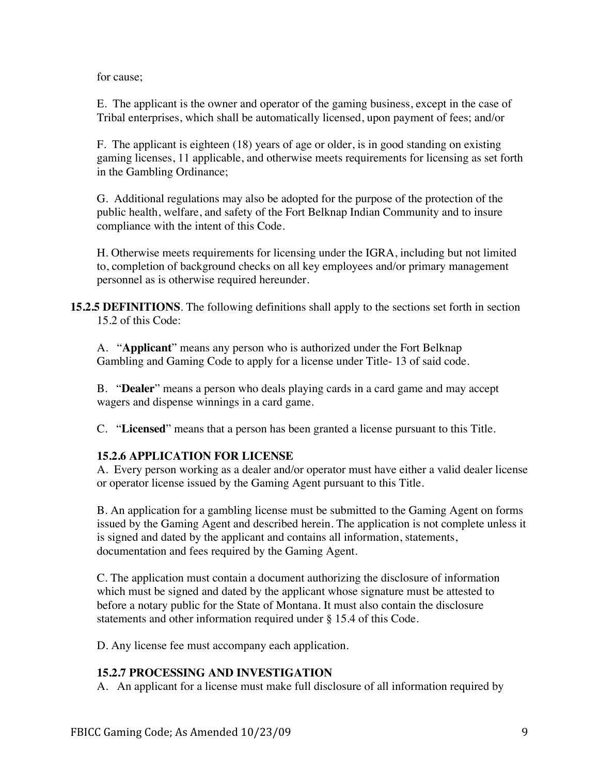for cause;

E. The applicant is the owner and operator of the gaming business, except in the case of Tribal enterprises, which shall be automatically licensed, upon payment of fees; and/or

F. The applicant is eighteen (18) years of age or older, is in good standing on existing gaming licenses, 11 applicable, and otherwise meets requirements for licensing as set forth in the Gambling Ordinance;

G. Additional regulations may also be adopted for the purpose of the protection of the public health, welfare, and safety of the Fort Belknap Indian Community and to insure compliance with the intent of this Code.

H. Otherwise meets requirements for licensing under the IGRA, including but not limited to, completion of background checks on all key employees and/or primary management personnel as is otherwise required hereunder.

**15.2.5 DEFINITIONS**. The following definitions shall apply to the sections set forth in section 15.2 of this Code:

A. "**Applicant**" means any person who is authorized under the Fort Belknap Gambling and Gaming Code to apply for a license under Title- 13 of said code.

B. "**Dealer**" means a person who deals playing cards in a card game and may accept wagers and dispense winnings in a card game.

C. "**Licensed**" means that a person has been granted a license pursuant to this Title.

## **15.2.6 APPLICATION FOR LICENSE**

A. Every person working as a dealer and/or operator must have either a valid dealer license or operator license issued by the Gaming Agent pursuant to this Title.

B. An application for a gambling license must be submitted to the Gaming Agent on forms issued by the Gaming Agent and described herein. The application is not complete unless it is signed and dated by the applicant and contains all information, statements, documentation and fees required by the Gaming Agent.

C. The application must contain a document authorizing the disclosure of information which must be signed and dated by the applicant whose signature must be attested to before a notary public for the State of Montana. It must also contain the disclosure statements and other information required under § 15.4 of this Code.

D. Any license fee must accompany each application.

## **15.2.7 PROCESSING AND INVESTIGATION**

A. An applicant for a license must make full disclosure of all information required by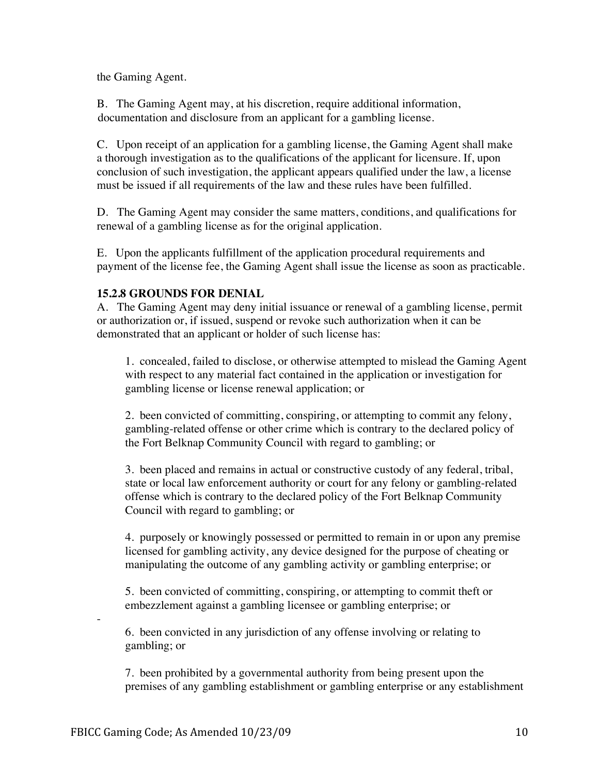the Gaming Agent.

B. The Gaming Agent may, at his discretion, require additional information, documentation and disclosure from an applicant for a gambling license.

C. Upon receipt of an application for a gambling license, the Gaming Agent shall make a thorough investigation as to the qualifications of the applicant for licensure. If, upon conclusion of such investigation, the applicant appears qualified under the law, a license must be issued if all requirements of the law and these rules have been fulfilled.

D. The Gaming Agent may consider the same matters, conditions, and qualifications for renewal of a gambling license as for the original application.

E. Upon the applicants fulfillment of the application procedural requirements and payment of the license fee, the Gaming Agent shall issue the license as soon as practicable.

#### **15.2.8 GROUNDS FOR DENIAL**

A. The Gaming Agent may deny initial issuance or renewal of a gambling license, permit or authorization or, if issued, suspend or revoke such authorization when it can be demonstrated that an applicant or holder of such license has:

1. concealed, failed to disclose, or otherwise attempted to mislead the Gaming Agent with respect to any material fact contained in the application or investigation for gambling license or license renewal application; or

2. been convicted of committing, conspiring, or attempting to commit any felony, gambling-related offense or other crime which is contrary to the declared policy of the Fort Belknap Community Council with regard to gambling; or

3. been placed and remains in actual or constructive custody of any federal, tribal, state or local law enforcement authority or court for any felony or gambling-related offense which is contrary to the declared policy of the Fort Belknap Community Council with regard to gambling; or

4. purposely or knowingly possessed or permitted to remain in or upon any premise licensed for gambling activity, any device designed for the purpose of cheating or manipulating the outcome of any gambling activity or gambling enterprise; or

5. been convicted of committing, conspiring, or attempting to commit theft or embezzlement against a gambling licensee or gambling enterprise; or

6. been convicted in any jurisdiction of any offense involving or relating to gambling; or

7. been prohibited by a governmental authority from being present upon the premises of any gambling establishment or gambling enterprise or any establishment

-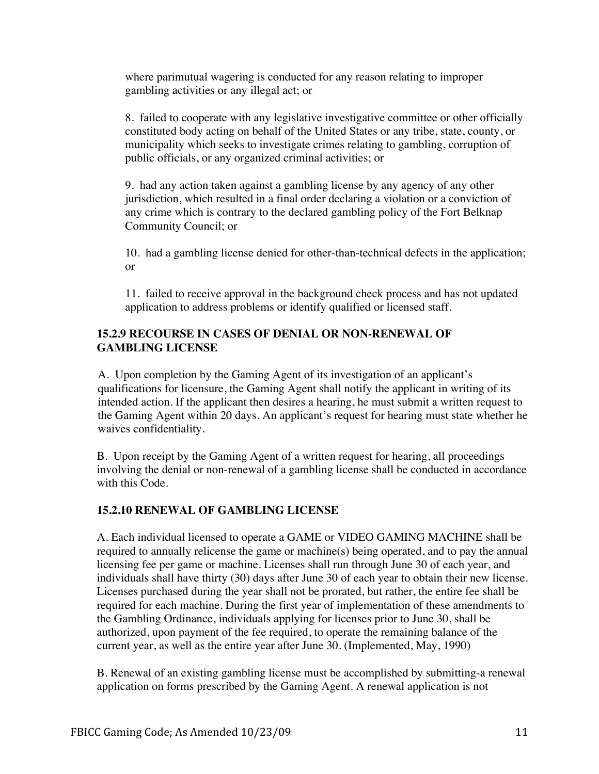where parimutual wagering is conducted for any reason relating to improper gambling activities or any illegal act; or

8. failed to cooperate with any legislative investigative committee or other officially constituted body acting on behalf of the United States or any tribe, state, county, or municipality which seeks to investigate crimes relating to gambling, corruption of public officials, or any organized criminal activities; or

9. had any action taken against a gambling license by any agency of any other jurisdiction, which resulted in a final order declaring a violation or a conviction of any crime which is contrary to the declared gambling policy of the Fort Belknap Community Council; or

10. had a gambling license denied for other-than-technical defects in the application; or

11. failed to receive approval in the background check process and has not updated application to address problems or identify qualified or licensed staff.

## **15.2.9 RECOURSE IN CASES OF DENIAL OR NON-RENEWAL OF GAMBLING LICENSE**

A. Upon completion by the Gaming Agent of its investigation of an applicant's qualifications for licensure, the Gaming Agent shall notify the applicant in writing of its intended action. If the applicant then desires a hearing, he must submit a written request to the Gaming Agent within 20 days. An applicant's request for hearing must state whether he waives confidentiality.

B. Upon receipt by the Gaming Agent of a written request for hearing, all proceedings involving the denial or non-renewal of a gambling license shall be conducted in accordance with this Code.

## **15.2.10 RENEWAL OF GAMBLING LICENSE**

A. Each individual licensed to operate a GAME or VIDEO GAMING MACHINE shall be required to annually relicense the game or machine(s) being operated, and to pay the annual licensing fee per game or machine. Licenses shall run through June 30 of each year, and individuals shall have thirty (30) days after June 30 of each year to obtain their new license. Licenses purchased during the year shall not be prorated, but rather, the entire fee shall be required for each machine. During the first year of implementation of these amendments to the Gambling Ordinance, individuals applying for licenses prior to June 30, shall be authorized, upon payment of the fee required, to operate the remaining balance of the current year, as well as the entire year after June 30. (Implemented, May, 1990)

B. Renewal of an existing gambling license must be accomplished by submitting-a renewal application on forms prescribed by the Gaming Agent. A renewal application is not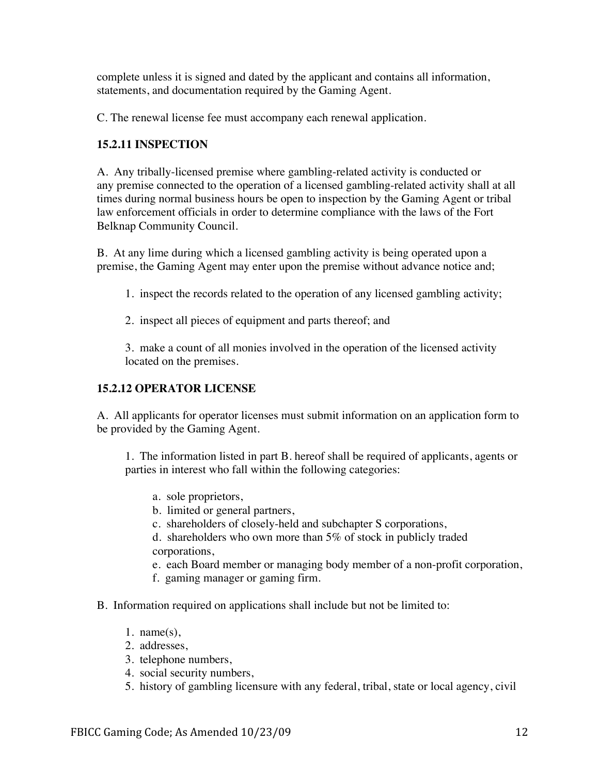complete unless it is signed and dated by the applicant and contains all information, statements, and documentation required by the Gaming Agent.

C. The renewal license fee must accompany each renewal application.

## **15.2.11 INSPECTION**

A. Any tribally-licensed premise where gambling-related activity is conducted or any premise connected to the operation of a licensed gambling-related activity shall at all times during normal business hours be open to inspection by the Gaming Agent or tribal law enforcement officials in order to determine compliance with the laws of the Fort Belknap Community Council.

B. At any lime during which a licensed gambling activity is being operated upon a premise, the Gaming Agent may enter upon the premise without advance notice and;

- 1. inspect the records related to the operation of any licensed gambling activity;
- 2. inspect all pieces of equipment and parts thereof; and

3. make a count of all monies involved in the operation of the licensed activity located on the premises.

## **15.2.12 OPERATOR LICENSE**

A. All applicants for operator licenses must submit information on an application form to be provided by the Gaming Agent.

1. The information listed in part B. hereof shall be required of applicants, agents or parties in interest who fall within the following categories:

- a. sole proprietors,
- b. limited or general partners,
- c. shareholders of closely-held and subchapter S corporations,

d. shareholders who own more than 5% of stock in publicly traded corporations,

- e. each Board member or managing body member of a non-profit corporation,
- f. gaming manager or gaming firm.
- B. Information required on applications shall include but not be limited to:
	- 1. name $(s)$ ,
	- 2. addresses,
	- 3. telephone numbers,
	- 4. social security numbers,
	- 5. history of gambling licensure with any federal, tribal, state or local agency, civil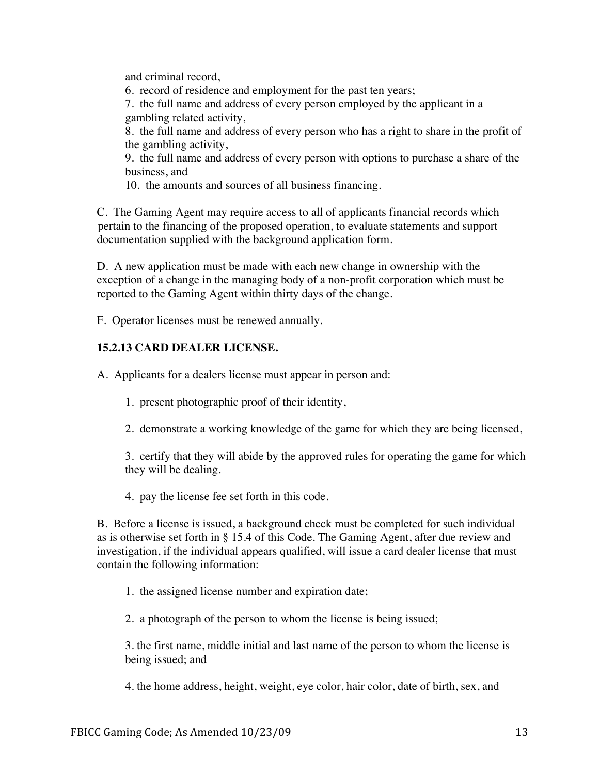and criminal record,

6. record of residence and employment for the past ten years;

7. the full name and address of every person employed by the applicant in a gambling related activity,

8. the full name and address of every person who has a right to share in the profit of the gambling activity,

9. the full name and address of every person with options to purchase a share of the business, and

10. the amounts and sources of all business financing.

C. The Gaming Agent may require access to all of applicants financial records which pertain to the financing of the proposed operation, to evaluate statements and support documentation supplied with the background application form.

D. A new application must be made with each new change in ownership with the exception of a change in the managing body of a non-profit corporation which must be reported to the Gaming Agent within thirty days of the change.

F. Operator licenses must be renewed annually.

## **15.2.13 CARD DEALER LICENSE.**

A. Applicants for a dealers license must appear in person and:

- 1. present photographic proof of their identity,
- 2. demonstrate a working knowledge of the game for which they are being licensed,

3. certify that they will abide by the approved rules for operating the game for which they will be dealing.

4. pay the license fee set forth in this code.

B. Before a license is issued, a background check must be completed for such individual as is otherwise set forth in § 15.4 of this Code. The Gaming Agent, after due review and investigation, if the individual appears qualified, will issue a card dealer license that must contain the following information:

1. the assigned license number and expiration date;

2. a photograph of the person to whom the license is being issued;

3. the first name, middle initial and last name of the person to whom the license is being issued; and

4. the home address, height, weight, eye color, hair color, date of birth, sex, and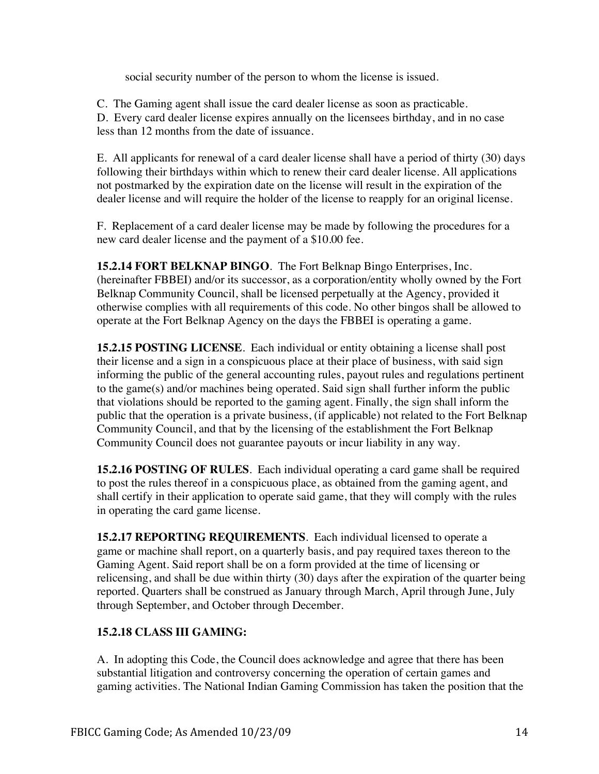social security number of the person to whom the license is issued.

C. The Gaming agent shall issue the card dealer license as soon as practicable. D. Every card dealer license expires annually on the licensees birthday, and in no case less than 12 months from the date of issuance.

E. All applicants for renewal of a card dealer license shall have a period of thirty (30) days following their birthdays within which to renew their card dealer license. All applications not postmarked by the expiration date on the license will result in the expiration of the dealer license and will require the holder of the license to reapply for an original license.

F. Replacement of a card dealer license may be made by following the procedures for a new card dealer license and the payment of a \$10.00 fee.

**15.2.14 FORT BELKNAP BINGO**. The Fort Belknap Bingo Enterprises, Inc. (hereinafter FBBEI) and/or its successor, as a corporation/entity wholly owned by the Fort Belknap Community Council, shall be licensed perpetually at the Agency, provided it otherwise complies with all requirements of this code. No other bingos shall be allowed to operate at the Fort Belknap Agency on the days the FBBEI is operating a game.

**15.2.15 POSTING LICENSE**. Each individual or entity obtaining a license shall post their license and a sign in a conspicuous place at their place of business, with said sign informing the public of the general accounting rules, payout rules and regulations pertinent to the game(s) and/or machines being operated. Said sign shall further inform the public that violations should be reported to the gaming agent. Finally, the sign shall inform the public that the operation is a private business, (if applicable) not related to the Fort Belknap Community Council, and that by the licensing of the establishment the Fort Belknap Community Council does not guarantee payouts or incur liability in any way.

**15.2.16 POSTING OF RULES**. Each individual operating a card game shall be required to post the rules thereof in a conspicuous place, as obtained from the gaming agent, and shall certify in their application to operate said game, that they will comply with the rules in operating the card game license.

**15.2.17 REPORTING REQUIREMENTS**. Each individual licensed to operate a game or machine shall report, on a quarterly basis, and pay required taxes thereon to the Gaming Agent. Said report shall be on a form provided at the time of licensing or relicensing, and shall be due within thirty (30) days after the expiration of the quarter being reported. Quarters shall be construed as January through March, April through June, July through September, and October through December.

# **15.2.18 CLASS III GAMING:**

A. In adopting this Code, the Council does acknowledge and agree that there has been substantial litigation and controversy concerning the operation of certain games and gaming activities. The National Indian Gaming Commission has taken the position that the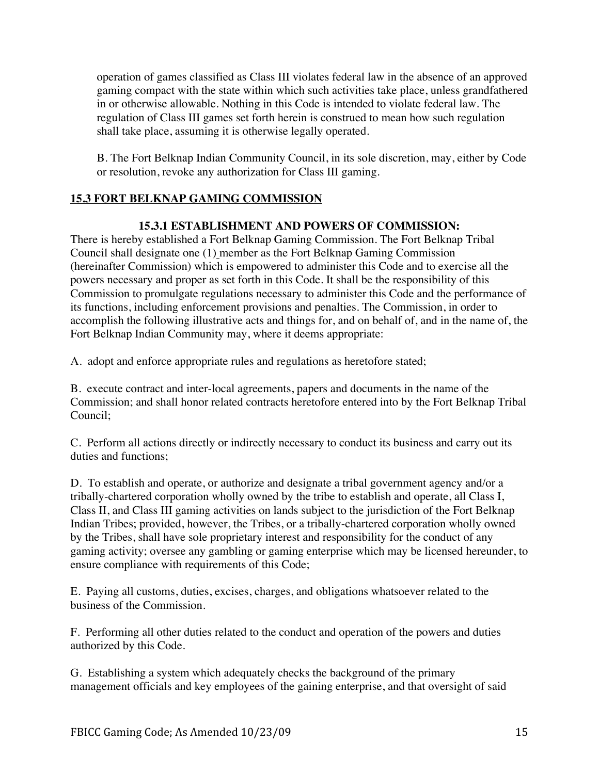operation of games classified as Class III violates federal law in the absence of an approved gaming compact with the state within which such activities take place, unless grandfathered in or otherwise allowable. Nothing in this Code is intended to violate federal law. The regulation of Class III games set forth herein is construed to mean how such regulation shall take place, assuming it is otherwise legally operated.

B. The Fort Belknap Indian Community Council, in its sole discretion, may, either by Code or resolution, revoke any authorization for Class III gaming.

# **15.3 FORT BELKNAP GAMING COMMISSION**

## **15.3.1 ESTABLISHMENT AND POWERS OF COMMISSION:**

There is hereby established a Fort Belknap Gaming Commission. The Fort Belknap Tribal Council shall designate one (1) member as the Fort Belknap Gaming Commission (hereinafter Commission) which is empowered to administer this Code and to exercise all the powers necessary and proper as set forth in this Code. It shall be the responsibility of this Commission to promulgate regulations necessary to administer this Code and the performance of its functions, including enforcement provisions and penalties. The Commission, in order to accomplish the following illustrative acts and things for, and on behalf of, and in the name of, the Fort Belknap Indian Community may, where it deems appropriate:

A. adopt and enforce appropriate rules and regulations as heretofore stated;

B. execute contract and inter-local agreements, papers and documents in the name of the Commission; and shall honor related contracts heretofore entered into by the Fort Belknap Tribal Council;

C. Perform all actions directly or indirectly necessary to conduct its business and carry out its duties and functions;

D. To establish and operate, or authorize and designate a tribal government agency and/or a tribally-chartered corporation wholly owned by the tribe to establish and operate, all Class I, Class II, and Class III gaming activities on lands subject to the jurisdiction of the Fort Belknap Indian Tribes; provided, however, the Tribes, or a tribally-chartered corporation wholly owned by the Tribes, shall have sole proprietary interest and responsibility for the conduct of any gaming activity; oversee any gambling or gaming enterprise which may be licensed hereunder, to ensure compliance with requirements of this Code;

E. Paying all customs, duties, excises, charges, and obligations whatsoever related to the business of the Commission.

F. Performing all other duties related to the conduct and operation of the powers and duties authorized by this Code.

G. Establishing a system which adequately checks the background of the primary management officials and key employees of the gaining enterprise, and that oversight of said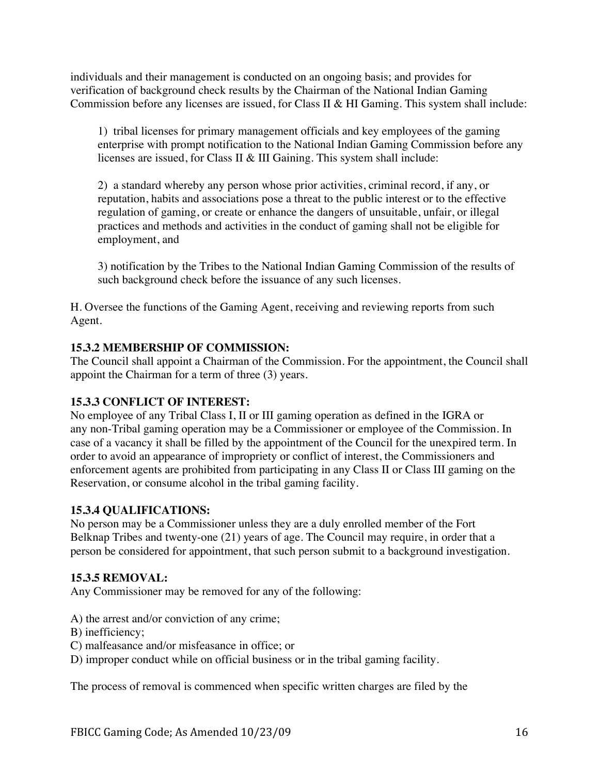individuals and their management is conducted on an ongoing basis; and provides for verification of background check results by the Chairman of the National Indian Gaming Commission before any licenses are issued, for Class II & HI Gaming. This system shall include:

1) tribal licenses for primary management officials and key employees of the gaming enterprise with prompt notification to the National Indian Gaming Commission before any licenses are issued, for Class II & III Gaining. This system shall include:

2) a standard whereby any person whose prior activities, criminal record, if any, or reputation, habits and associations pose a threat to the public interest or to the effective regulation of gaming, or create or enhance the dangers of unsuitable, unfair, or illegal practices and methods and activities in the conduct of gaming shall not be eligible for employment, and

3) notification by the Tribes to the National Indian Gaming Commission of the results of such background check before the issuance of any such licenses.

H. Oversee the functions of the Gaming Agent, receiving and reviewing reports from such Agent.

## **15.3.2 MEMBERSHIP OF COMMISSION:**

The Council shall appoint a Chairman of the Commission. For the appointment, the Council shall appoint the Chairman for a term of three (3) years.

## **15.3.3 CONFLICT OF INTEREST:**

No employee of any Tribal Class I, II or III gaming operation as defined in the IGRA or any non-Tribal gaming operation may be a Commissioner or employee of the Commission. In case of a vacancy it shall be filled by the appointment of the Council for the unexpired term. In order to avoid an appearance of impropriety or conflict of interest, the Commissioners and enforcement agents are prohibited from participating in any Class II or Class III gaming on the Reservation, or consume alcohol in the tribal gaming facility.

## **15.3.4 QUALIFICATIONS:**

No person may be a Commissioner unless they are a duly enrolled member of the Fort Belknap Tribes and twenty-one (21) years of age. The Council may require, in order that a person be considered for appointment, that such person submit to a background investigation.

## **15.3.5 REMOVAL:**

Any Commissioner may be removed for any of the following:

- A) the arrest and/or conviction of any crime;
- B) inefficiency;
- C) malfeasance and/or misfeasance in office; or
- D) improper conduct while on official business or in the tribal gaming facility.

The process of removal is commenced when specific written charges are filed by the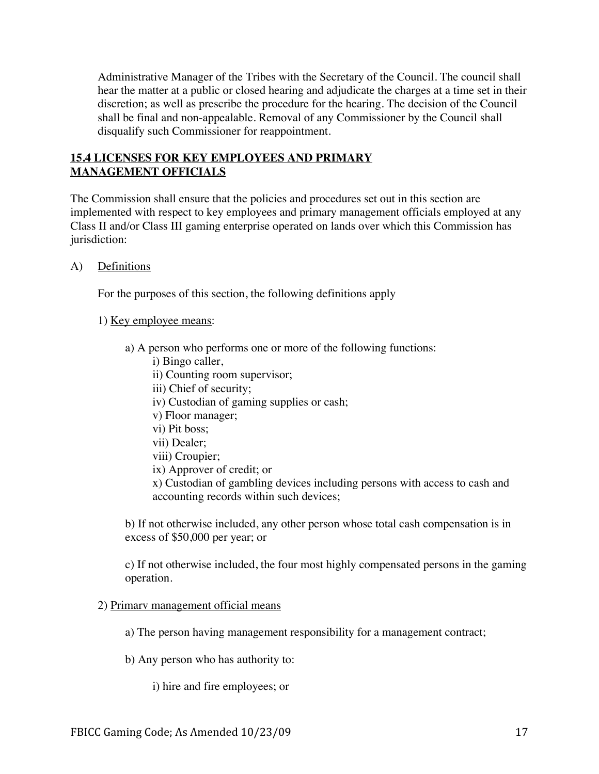Administrative Manager of the Tribes with the Secretary of the Council. The council shall hear the matter at a public or closed hearing and adjudicate the charges at a time set in their discretion; as well as prescribe the procedure for the hearing. The decision of the Council shall be final and non-appealable. Removal of any Commissioner by the Council shall disqualify such Commissioner for reappointment.

## **15.4 LICENSES FOR KEY EMPLOYEES AND PRIMARY MANAGEMENT OFFICIALS**

The Commission shall ensure that the policies and procedures set out in this section are implemented with respect to key employees and primary management officials employed at any Class II and/or Class III gaming enterprise operated on lands over which this Commission has jurisdiction:

A) Definitions

For the purposes of this section, the following definitions apply

#### 1) Key employee means:

- a) A person who performs one or more of the following functions:
	- i) Bingo caller,
	- ii) Counting room supervisor;
	- iii) Chief of security;
	- iv) Custodian of gaming supplies or cash;
	- v) Floor manager;
	- vi) Pit boss;
	- vii) Dealer;
	- viii) Croupier;
	- ix) Approver of credit; or
	- x) Custodian of gambling devices including persons with access to cash and accounting records within such devices;

b) If not otherwise included, any other person whose total cash compensation is in excess of \$50,000 per year; or

c) If not otherwise included, the four most highly compensated persons in the gaming operation.

#### 2) Primarv management official means

- a) The person having management responsibility for a management contract;
- b) Any person who has authority to:
	- i) hire and fire employees; or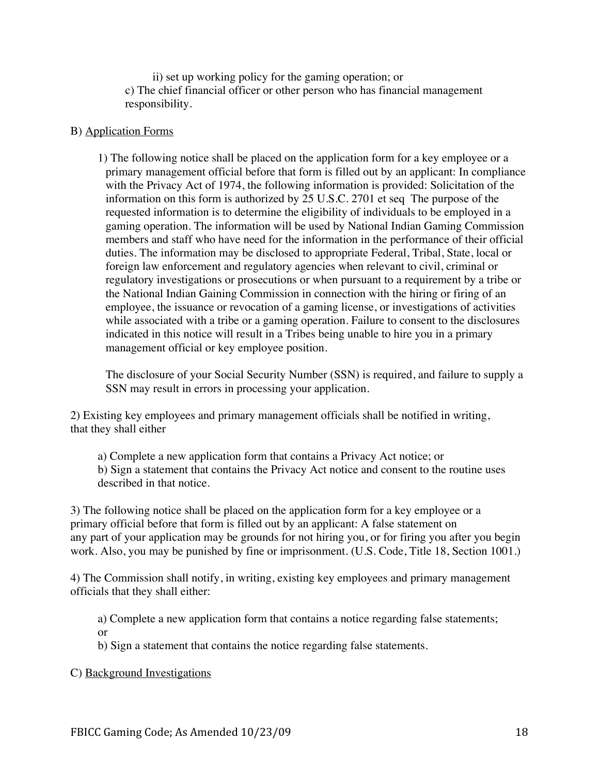ii) set up working policy for the gaming operation; or c) The chief financial officer or other person who has financial management responsibility.

#### B) Application Forms

1) The following notice shall be placed on the application form for a key employee or a primary management official before that form is filled out by an applicant: In compliance with the Privacy Act of 1974, the following information is provided: Solicitation of the information on this form is authorized by 25 U.S.C. 2701 et seq The purpose of the requested information is to determine the eligibility of individuals to be employed in a gaming operation. The information will be used by National Indian Gaming Commission members and staff who have need for the information in the performance of their official duties. The information may be disclosed to appropriate Federal, Tribal, State, local or foreign law enforcement and regulatory agencies when relevant to civil, criminal or regulatory investigations or prosecutions or when pursuant to a requirement by a tribe or the National Indian Gaining Commission in connection with the hiring or firing of an employee, the issuance or revocation of a gaming license, or investigations of activities while associated with a tribe or a gaming operation. Failure to consent to the disclosures indicated in this notice will result in a Tribes being unable to hire you in a primary management official or key employee position.

The disclosure of your Social Security Number (SSN) is required, and failure to supply a SSN may result in errors in processing your application.

2) Existing key employees and primary management officials shall be notified in writing, that they shall either

a) Complete a new application form that contains a Privacy Act notice; or b) Sign a statement that contains the Privacy Act notice and consent to the routine uses described in that notice.

3) The following notice shall be placed on the application form for a key employee or a primary official before that form is filled out by an applicant: A false statement on any part of your application may be grounds for not hiring you, or for firing you after you begin work. Also, you may be punished by fine or imprisonment. (U.S. Code, Title 18, Section 1001.)

4) The Commission shall notify, in writing, existing key employees and primary management officials that they shall either:

a) Complete a new application form that contains a notice regarding false statements; or

b) Sign a statement that contains the notice regarding false statements.

C) Background Investigations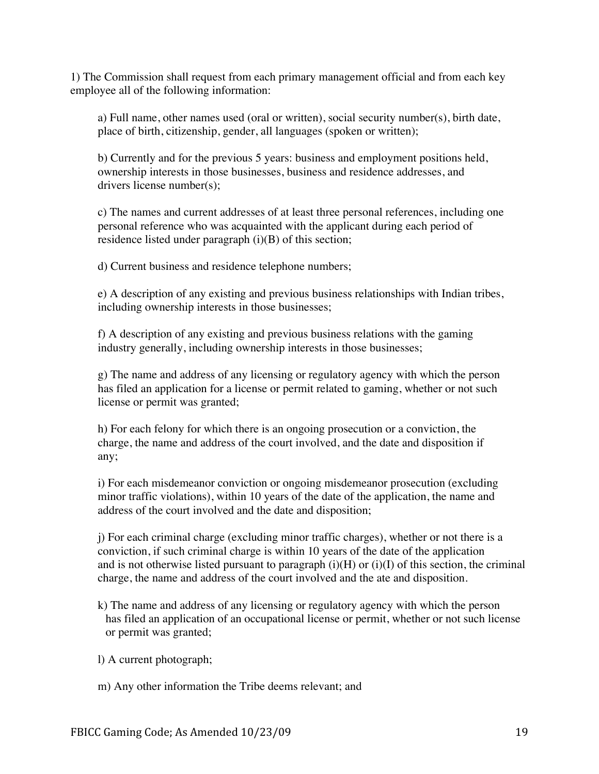1) The Commission shall request from each primary management official and from each key employee all of the following information:

a) Full name, other names used (oral or written), social security number(s), birth date, place of birth, citizenship, gender, all languages (spoken or written);

b) Currently and for the previous 5 years: business and employment positions held, ownership interests in those businesses, business and residence addresses, and drivers license number(s);

c) The names and current addresses of at least three personal references, including one personal reference who was acquainted with the applicant during each period of residence listed under paragraph (i)(B) of this section;

d) Current business and residence telephone numbers;

e) A description of any existing and previous business relationships with Indian tribes, including ownership interests in those businesses;

f) A description of any existing and previous business relations with the gaming industry generally, including ownership interests in those businesses;

g) The name and address of any licensing or regulatory agency with which the person has filed an application for a license or permit related to gaming, whether or not such license or permit was granted;

h) For each felony for which there is an ongoing prosecution or a conviction, the charge, the name and address of the court involved, and the date and disposition if any;

i) For each misdemeanor conviction or ongoing misdemeanor prosecution (excluding minor traffic violations), within 10 years of the date of the application, the name and address of the court involved and the date and disposition;

j) For each criminal charge (excluding minor traffic charges), whether or not there is a conviction, if such criminal charge is within 10 years of the date of the application and is not otherwise listed pursuant to paragraph  $(i)(H)$  or  $(i)(I)$  of this section, the criminal charge, the name and address of the court involved and the ate and disposition.

k) The name and address of any licensing or regulatory agency with which the person has filed an application of an occupational license or permit, whether or not such license or permit was granted;

l) A current photograph;

m) Any other information the Tribe deems relevant; and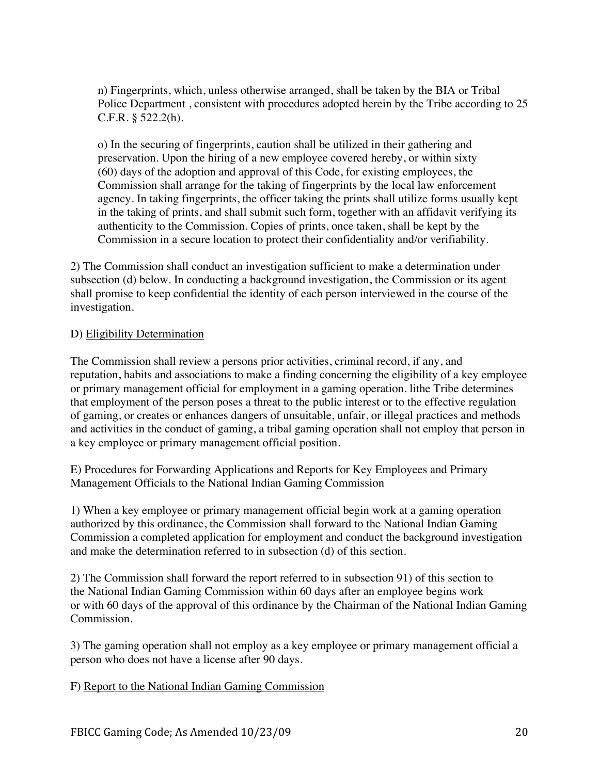n) Fingerprints, which, unless otherwise arranged, shall be taken by the BIA or Tribal Police Department , consistent with procedures adopted herein by the Tribe according to 25 C.F.R. § 522.2(h).

o) In the securing of fingerprints, caution shall be utilized in their gathering and preservation. Upon the hiring of a new employee covered hereby, or within sixty (60) days of the adoption and approval of this Code, for existing employees, the Commission shall arrange for the taking of fingerprints by the local law enforcement agency. In taking fingerprints, the officer taking the prints shall utilize forms usually kept in the taking of prints, and shall submit such form, together with an affidavit verifying its authenticity to the Commission. Copies of prints, once taken, shall be kept by the Commission in a secure location to protect their confidentiality and/or verifiability.

2) The Commission shall conduct an investigation sufficient to make a determination under subsection (d) below. In conducting a background investigation, the Commission or its agent shall promise to keep confidential the identity of each person interviewed in the course of the investigation.

#### D) Eligibility Determination

The Commission shall review a persons prior activities, criminal record, if any, and reputation, habits and associations to make a finding concerning the eligibility of a key employee or primary management official for employment in a gaming operation. lithe Tribe determines that employment of the person poses a threat to the public interest or to the effective regulation of gaming, or creates or enhances dangers of unsuitable, unfair, or illegal practices and methods and activities in the conduct of gaming, a tribal gaming operation shall not employ that person in a key employee or primary management official position.

E) Procedures for Forwarding Applications and Reports for Key Employees and Primary Management Officials to the National Indian Gaming Commission

1) When a key employee or primary management official begin work at a gaming operation authorized by this ordinance, the Commission shall forward to the National Indian Gaming Commission a completed application for employment and conduct the background investigation and make the determination referred to in subsection (d) of this section.

2) The Commission shall forward the report referred to in subsection 91) of this section to the National Indian Gaming Commission within 60 days after an employee begins work or with 60 days of the approval of this ordinance by the Chairman of the National Indian Gaming Commission.

3) The gaming operation shall not employ as a key employee or primary management official a person who does not have a license after 90 days.

#### F) Report to the National Indian Gaming Commission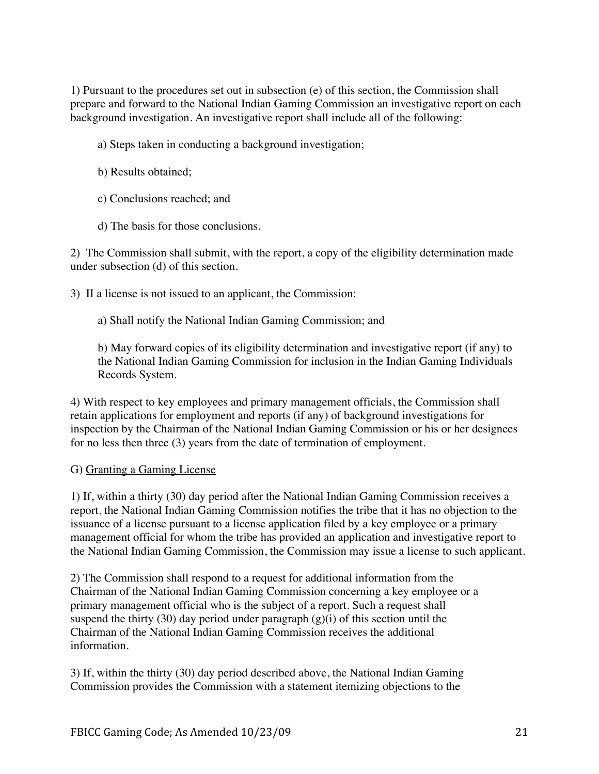1) Pursuant to the procedures set out in subsection (e) of this section, the Commission shall prepare and forward to the National Indian Gaming Commission an investigative report on each background investigation. An investigative report shall include all of the following:

- a) Steps taken in conducting a background investigation;
- b) Results obtained;
- c) Conclusions reached; and
- d) The basis for those conclusions.

2) The Commission shall submit, with the report, a copy of the eligibility determination made under subsection (d) of this section.

3) II a license is not issued to an applicant, the Commission:

a) Shall notify the National Indian Gaming Commission; and

b) May forward copies of its eligibility determination and investigative report (if any) to the National Indian Gaming Commission for inclusion in the Indian Gaming Individuals Records System.

4) With respect to key employees and primary management officials, the Commission shall retain applications for employment and reports (if any) of background investigations for inspection by the Chairman of the National Indian Gaming Commission or his or her designees for no less then three (3) years from the date of termination of employment.

#### G) Granting a Gaming License

1) If, within a thirty (30) day period after the National Indian Gaming Commission receives a report, the National Indian Gaming Commission notifies the tribe that it has no objection to the issuance of a license pursuant to a license application filed by a key employee or a primary management official for whom the tribe has provided an application and investigative report to the National Indian Gaming Commission, the Commission may issue a license to such applicant.

2) The Commission shall respond to a request for additional information from the Chairman of the National Indian Gaming Commission concerning a key employee or a primary management official who is the subject of a report. Such a request shall suspend the thirty (30) day period under paragraph  $(g)(i)$  of this section until the Chairman of the National Indian Gaming Commission receives the additional information.

3) If, within the thirty (30) day period described above, the National Indian Gaming Commission provides the Commission with a statement itemizing objections to the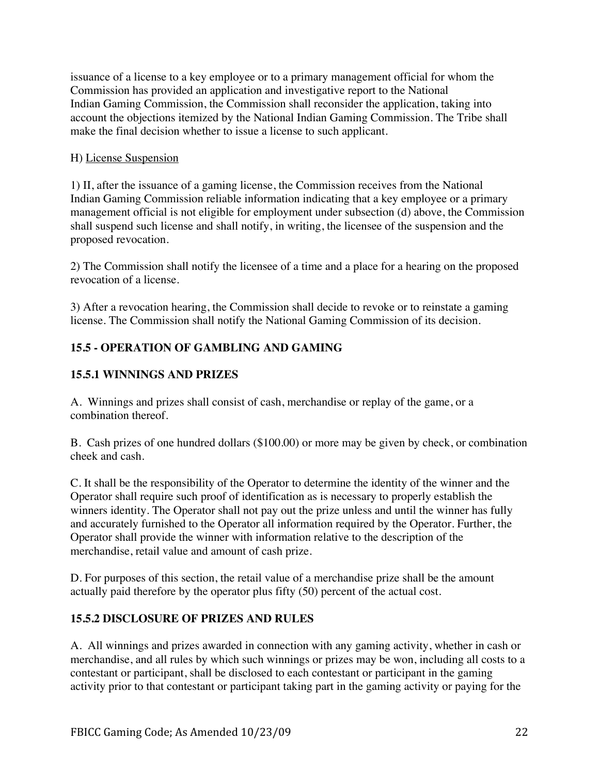issuance of a license to a key employee or to a primary management official for whom the Commission has provided an application and investigative report to the National Indian Gaming Commission, the Commission shall reconsider the application, taking into account the objections itemized by the National Indian Gaming Commission. The Tribe shall make the final decision whether to issue a license to such applicant.

## H) License Suspension

1) II, after the issuance of a gaming license, the Commission receives from the National Indian Gaming Commission reliable information indicating that a key employee or a primary management official is not eligible for employment under subsection (d) above, the Commission shall suspend such license and shall notify, in writing, the licensee of the suspension and the proposed revocation.

2) The Commission shall notify the licensee of a time and a place for a hearing on the proposed revocation of a license.

3) After a revocation hearing, the Commission shall decide to revoke or to reinstate a gaming license. The Commission shall notify the National Gaming Commission of its decision.

# **15.5 - OPERATION OF GAMBLING AND GAMING**

# **15.5.1 WINNINGS AND PRIZES**

A. Winnings and prizes shall consist of cash, merchandise or replay of the game, or a combination thereof.

B. Cash prizes of one hundred dollars (\$100.00) or more may be given by check, or combination cheek and cash.

C. It shall be the responsibility of the Operator to determine the identity of the winner and the Operator shall require such proof of identification as is necessary to properly establish the winners identity. The Operator shall not pay out the prize unless and until the winner has fully and accurately furnished to the Operator all information required by the Operator. Further, the Operator shall provide the winner with information relative to the description of the merchandise, retail value and amount of cash prize.

D. For purposes of this section, the retail value of a merchandise prize shall be the amount actually paid therefore by the operator plus fifty (50) percent of the actual cost.

## **15.5.2 DISCLOSURE OF PRIZES AND RULES**

A. All winnings and prizes awarded in connection with any gaming activity, whether in cash or merchandise, and all rules by which such winnings or prizes may be won, including all costs to a contestant or participant, shall be disclosed to each contestant or participant in the gaming activity prior to that contestant or participant taking part in the gaming activity or paying for the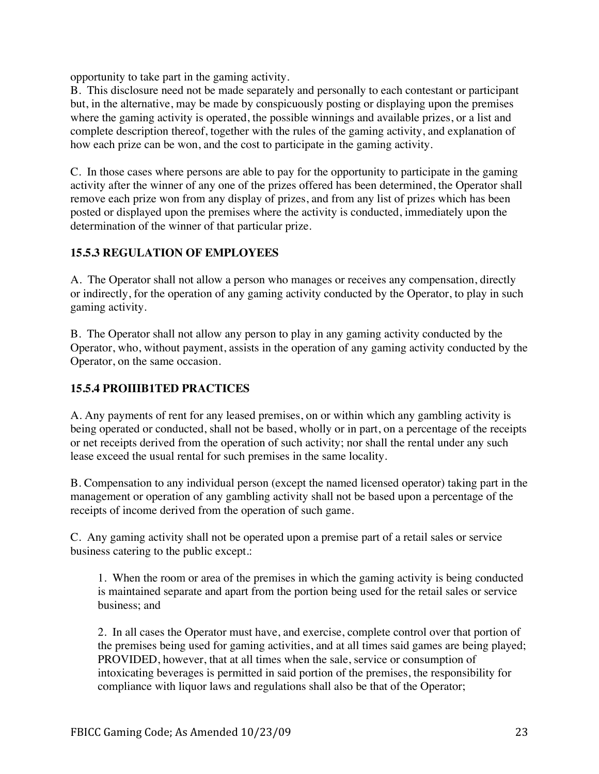opportunity to take part in the gaming activity.

B. This disclosure need not be made separately and personally to each contestant or participant but, in the alternative, may be made by conspicuously posting or displaying upon the premises where the gaming activity is operated, the possible winnings and available prizes, or a list and complete description thereof, together with the rules of the gaming activity, and explanation of how each prize can be won, and the cost to participate in the gaming activity.

C. In those cases where persons are able to pay for the opportunity to participate in the gaming activity after the winner of any one of the prizes offered has been determined, the Operator shall remove each prize won from any display of prizes, and from any list of prizes which has been posted or displayed upon the premises where the activity is conducted, immediately upon the determination of the winner of that particular prize.

# **15.5.3 REGULATION OF EMPLOYEES**

A. The Operator shall not allow a person who manages or receives any compensation, directly or indirectly, for the operation of any gaming activity conducted by the Operator, to play in such gaming activity.

B. The Operator shall not allow any person to play in any gaming activity conducted by the Operator, who, without payment, assists in the operation of any gaming activity conducted by the Operator, on the same occasion.

# **15.5.4 PROIIIB1TED PRACTICES**

A. Any payments of rent for any leased premises, on or within which any gambling activity is being operated or conducted, shall not be based, wholly or in part, on a percentage of the receipts or net receipts derived from the operation of such activity; nor shall the rental under any such lease exceed the usual rental for such premises in the same locality.

B. Compensation to any individual person (except the named licensed operator) taking part in the management or operation of any gambling activity shall not be based upon a percentage of the receipts of income derived from the operation of such game.

C. Any gaming activity shall not be operated upon a premise part of a retail sales or service business catering to the public except.:

1. When the room or area of the premises in which the gaming activity is being conducted is maintained separate and apart from the portion being used for the retail sales or service business; and

2. In all cases the Operator must have, and exercise, complete control over that portion of the premises being used for gaming activities, and at all times said games are being played; PROVIDED, however, that at all times when the sale, service or consumption of intoxicating beverages is permitted in said portion of the premises, the responsibility for compliance with liquor laws and regulations shall also be that of the Operator;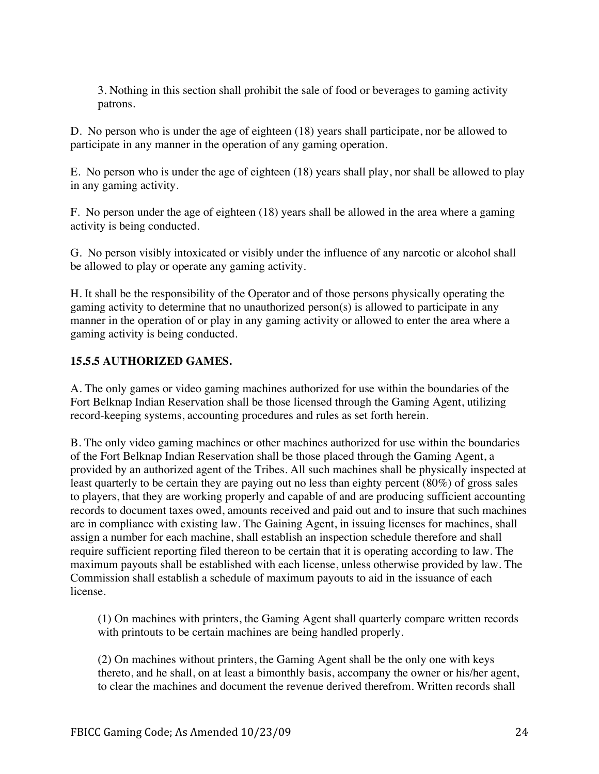3. Nothing in this section shall prohibit the sale of food or beverages to gaming activity patrons.

D. No person who is under the age of eighteen (18) years shall participate, nor be allowed to participate in any manner in the operation of any gaming operation.

E. No person who is under the age of eighteen (18) years shall play, nor shall be allowed to play in any gaming activity.

F. No person under the age of eighteen (18) years shall be allowed in the area where a gaming activity is being conducted.

G. No person visibly intoxicated or visibly under the influence of any narcotic or alcohol shall be allowed to play or operate any gaming activity.

H. It shall be the responsibility of the Operator and of those persons physically operating the gaming activity to determine that no unauthorized person(s) is allowed to participate in any manner in the operation of or play in any gaming activity or allowed to enter the area where a gaming activity is being conducted.

## **15.5.5 AUTHORIZED GAMES.**

A. The only games or video gaming machines authorized for use within the boundaries of the Fort Belknap Indian Reservation shall be those licensed through the Gaming Agent, utilizing record-keeping systems, accounting procedures and rules as set forth herein.

B. The only video gaming machines or other machines authorized for use within the boundaries of the Fort Belknap Indian Reservation shall be those placed through the Gaming Agent, a provided by an authorized agent of the Tribes. All such machines shall be physically inspected at least quarterly to be certain they are paying out no less than eighty percent (80%) of gross sales to players, that they are working properly and capable of and are producing sufficient accounting records to document taxes owed, amounts received and paid out and to insure that such machines are in compliance with existing law. The Gaining Agent, in issuing licenses for machines, shall assign a number for each machine, shall establish an inspection schedule therefore and shall require sufficient reporting filed thereon to be certain that it is operating according to law. The maximum payouts shall be established with each license, unless otherwise provided by law. The Commission shall establish a schedule of maximum payouts to aid in the issuance of each license.

(1) On machines with printers, the Gaming Agent shall quarterly compare written records with printouts to be certain machines are being handled properly.

(2) On machines without printers, the Gaming Agent shall be the only one with keys thereto, and he shall, on at least a bimonthly basis, accompany the owner or his/her agent, to clear the machines and document the revenue derived therefrom. Written records shall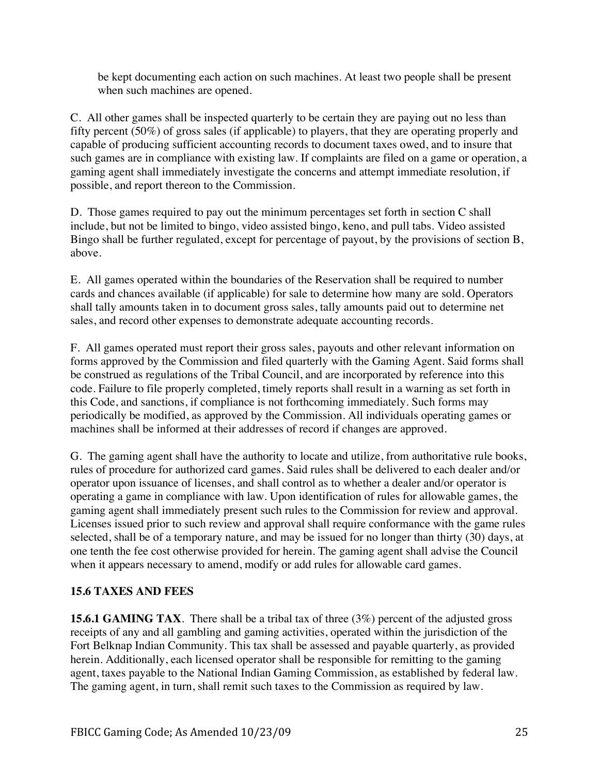be kept documenting each action on such machines. At least two people shall be present when such machines are opened.

C. All other games shall be inspected quarterly to be certain they are paying out no less than fifty percent (50%) of gross sales (if applicable) to players, that they are operating properly and capable of producing sufficient accounting records to document taxes owed, and to insure that such games are in compliance with existing law. If complaints are filed on a game or operation, a gaming agent shall immediately investigate the concerns and attempt immediate resolution, if possible, and report thereon to the Commission.

D. Those games required to pay out the minimum percentages set forth in section C shall include, but not be limited to bingo, video assisted bingo, keno, and pull tabs. Video assisted Bingo shall be further regulated, except for percentage of payout, by the provisions of section B, above.

E. All games operated within the boundaries of the Reservation shall be required to number cards and chances available (if applicable) for sale to determine how many are sold. Operators shall tally amounts taken in to document gross sales, tally amounts paid out to determine net sales, and record other expenses to demonstrate adequate accounting records.

F. All games operated must report their gross sales, payouts and other relevant information on forms approved by the Commission and filed quarterly with the Gaming Agent. Said forms shall be construed as regulations of the Tribal Council, and are incorporated by reference into this code. Failure to file properly completed, timely reports shall result in a warning as set forth in this Code, and sanctions, if compliance is not forthcoming immediately. Such forms may periodically be modified, as approved by the Commission. All individuals operating games or machines shall be informed at their addresses of record if changes are approved.

G. The gaming agent shall have the authority to locate and utilize, from authoritative rule books, rules of procedure for authorized card games. Said rules shall be delivered to each dealer and/or operator upon issuance of licenses, and shall control as to whether a dealer and/or operator is operating a game in compliance with law. Upon identification of rules for allowable games, the gaming agent shall immediately present such rules to the Commission for review and approval. Licenses issued prior to such review and approval shall require conformance with the game rules selected, shall be of a temporary nature, and may be issued for no longer than thirty (30) days, at one tenth the fee cost otherwise provided for herein. The gaming agent shall advise the Council when it appears necessary to amend, modify or add rules for allowable card games.

# **15.6 TAXES AND FEES**

**15.6.1 GAMING TAX**. There shall be a tribal tax of three (3%) percent of the adjusted gross receipts of any and all gambling and gaming activities, operated within the jurisdiction of the Fort Belknap Indian Community. This tax shall be assessed and payable quarterly, as provided herein. Additionally, each licensed operator shall be responsible for remitting to the gaming agent, taxes payable to the National Indian Gaming Commission, as established by federal law. The gaming agent, in turn, shall remit such taxes to the Commission as required by law.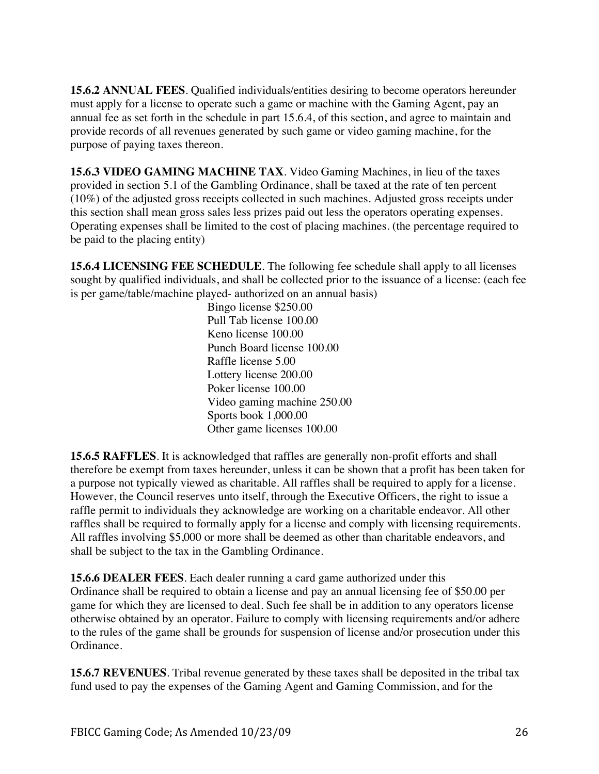**15.6.2 ANNUAL FEES**. Qualified individuals/entities desiring to become operators hereunder must apply for a license to operate such a game or machine with the Gaming Agent, pay an annual fee as set forth in the schedule in part 15.6.4, of this section, and agree to maintain and provide records of all revenues generated by such game or video gaming machine, for the purpose of paying taxes thereon.

**15.6.3 VIDEO GAMING MACHINE TAX**. Video Gaming Machines, in lieu of the taxes provided in section 5.1 of the Gambling Ordinance, shall be taxed at the rate of ten percent (10%) of the adjusted gross receipts collected in such machines. Adjusted gross receipts under this section shall mean gross sales less prizes paid out less the operators operating expenses. Operating expenses shall be limited to the cost of placing machines. (the percentage required to be paid to the placing entity)

**15.6.4 LICENSING FEE SCHEDULE**. The following fee schedule shall apply to all licenses sought by qualified individuals, and shall be collected prior to the issuance of a license: (each fee is per game/table/machine played- authorized on an annual basis)

> Bingo license \$250.00 Pull Tab license 100.00 Keno license 100.00 Punch Board license 100.00 Raffle license 5.00 Lottery license 200.00 Poker license 100.00 Video gaming machine 250.00 Sports book 1,000.00 Other game licenses 100.00

**15.6.5 RAFFLES**. It is acknowledged that raffles are generally non-profit efforts and shall therefore be exempt from taxes hereunder, unless it can be shown that a profit has been taken for a purpose not typically viewed as charitable. All raffles shall be required to apply for a license. However, the Council reserves unto itself, through the Executive Officers, the right to issue a raffle permit to individuals they acknowledge are working on a charitable endeavor. All other raffles shall be required to formally apply for a license and comply with licensing requirements. All raffles involving \$5,000 or more shall be deemed as other than charitable endeavors, and shall be subject to the tax in the Gambling Ordinance.

**15.6.6 DEALER FEES**. Each dealer running a card game authorized under this Ordinance shall be required to obtain a license and pay an annual licensing fee of \$50.00 per game for which they are licensed to deal. Such fee shall be in addition to any operators license otherwise obtained by an operator. Failure to comply with licensing requirements and/or adhere to the rules of the game shall be grounds for suspension of license and/or prosecution under this Ordinance.

**15.6.7 REVENUES**. Tribal revenue generated by these taxes shall be deposited in the tribal tax fund used to pay the expenses of the Gaming Agent and Gaming Commission, and for the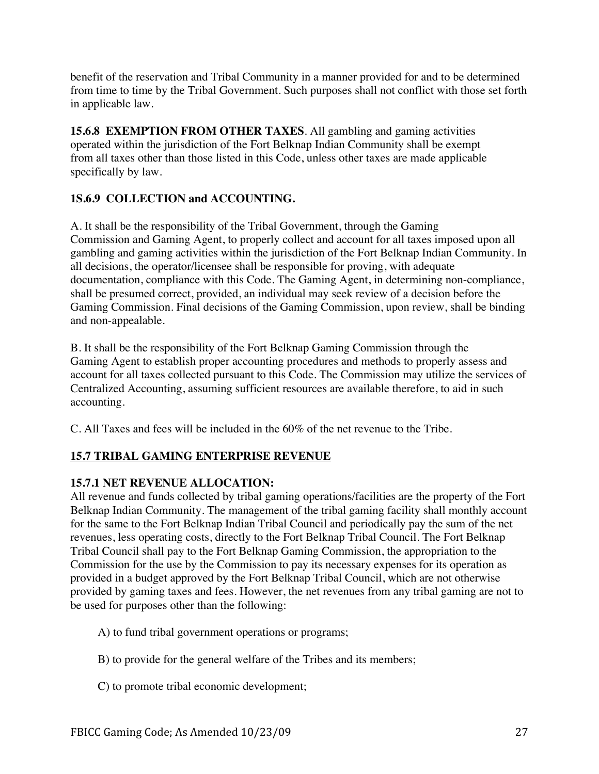benefit of the reservation and Tribal Community in a manner provided for and to be determined from time to time by the Tribal Government. Such purposes shall not conflict with those set forth in applicable law.

**15.6.8 EXEMPTION FROM OTHER TAXES**. All gambling and gaming activities operated within the jurisdiction of the Fort Belknap Indian Community shall be exempt from all taxes other than those listed in this Code, unless other taxes are made applicable specifically by law.

# **1S.6.9 COLLECTION and ACCOUNTING.**

A. It shall be the responsibility of the Tribal Government, through the Gaming Commission and Gaming Agent, to properly collect and account for all taxes imposed upon all gambling and gaming activities within the jurisdiction of the Fort Belknap Indian Community. In all decisions, the operator/licensee shall be responsible for proving, with adequate documentation, compliance with this Code. The Gaming Agent, in determining non-compliance, shall be presumed correct, provided, an individual may seek review of a decision before the Gaming Commission. Final decisions of the Gaming Commission, upon review, shall be binding and non-appealable.

B. It shall be the responsibility of the Fort Belknap Gaming Commission through the Gaming Agent to establish proper accounting procedures and methods to properly assess and account for all taxes collected pursuant to this Code. The Commission may utilize the services of Centralized Accounting, assuming sufficient resources are available therefore, to aid in such accounting.

C. All Taxes and fees will be included in the 60% of the net revenue to the Tribe.

# **15.7 TRIBAL GAMING ENTERPRISE REVENUE**

# **15.7.1 NET REVENUE ALLOCATION:**

All revenue and funds collected by tribal gaming operations/facilities are the property of the Fort Belknap Indian Community. The management of the tribal gaming facility shall monthly account for the same to the Fort Belknap Indian Tribal Council and periodically pay the sum of the net revenues, less operating costs, directly to the Fort Belknap Tribal Council. The Fort Belknap Tribal Council shall pay to the Fort Belknap Gaming Commission, the appropriation to the Commission for the use by the Commission to pay its necessary expenses for its operation as provided in a budget approved by the Fort Belknap Tribal Council, which are not otherwise provided by gaming taxes and fees. However, the net revenues from any tribal gaming are not to be used for purposes other than the following:

- A) to fund tribal government operations or programs;
- B) to provide for the general welfare of the Tribes and its members;
- C) to promote tribal economic development;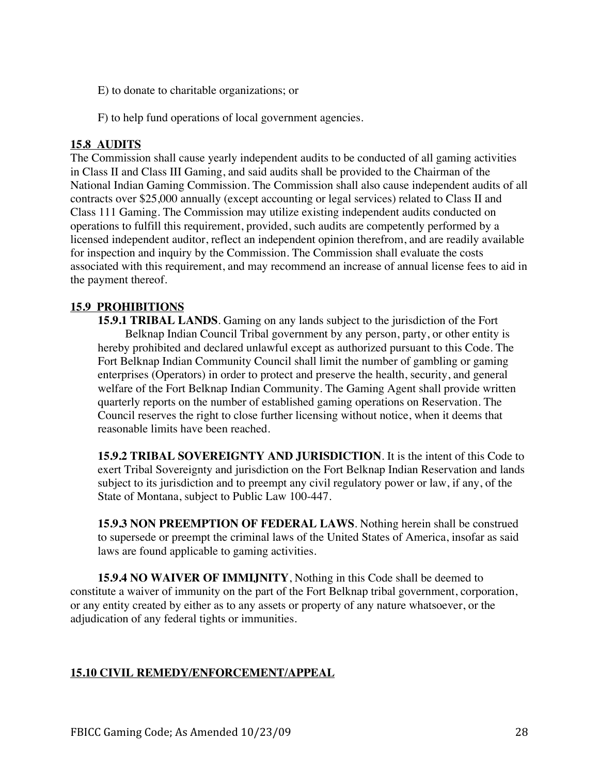E) to donate to charitable organizations; or

F) to help fund operations of local government agencies.

#### **15.8 AUDITS**

The Commission shall cause yearly independent audits to be conducted of all gaming activities in Class II and Class III Gaming, and said audits shall be provided to the Chairman of the National Indian Gaming Commission. The Commission shall also cause independent audits of all contracts over \$25,000 annually (except accounting or legal services) related to Class II and Class 111 Gaming. The Commission may utilize existing independent audits conducted on operations to fulfill this requirement, provided, such audits are competently performed by a licensed independent auditor, reflect an independent opinion therefrom, and are readily available for inspection and inquiry by the Commission. The Commission shall evaluate the costs associated with this requirement, and may recommend an increase of annual license fees to aid in the payment thereof.

#### **15.9 PROHIBITIONS**

**15.9.1 TRIBAL LANDS**. Gaming on any lands subject to the jurisdiction of the Fort Belknap Indian Council Tribal government by any person, party, or other entity is hereby prohibited and declared unlawful except as authorized pursuant to this Code. The Fort Belknap Indian Community Council shall limit the number of gambling or gaming enterprises (Operators) in order to protect and preserve the health, security, and general welfare of the Fort Belknap Indian Community. The Gaming Agent shall provide written quarterly reports on the number of established gaming operations on Reservation. The Council reserves the right to close further licensing without notice, when it deems that reasonable limits have been reached.

**15.9.2 TRIBAL SOVEREIGNTY AND JURISDICTION**. It is the intent of this Code to exert Tribal Sovereignty and jurisdiction on the Fort Belknap Indian Reservation and lands subject to its jurisdiction and to preempt any civil regulatory power or law, if any, of the State of Montana, subject to Public Law 100-447.

**15.9.3 NON PREEMPTION OF FEDERAL LAWS**. Nothing herein shall be construed to supersede or preempt the criminal laws of the United States of America, insofar as said laws are found applicable to gaming activities.

**15.9.4 NO WAIVER OF IMMIJNITY**, Nothing in this Code shall be deemed to constitute a waiver of immunity on the part of the Fort Belknap tribal government, corporation, or any entity created by either as to any assets or property of any nature whatsoever, or the adjudication of any federal tights or immunities.

## **15.10 CIVIL REMEDY/ENFORCEMENT/APPEAL**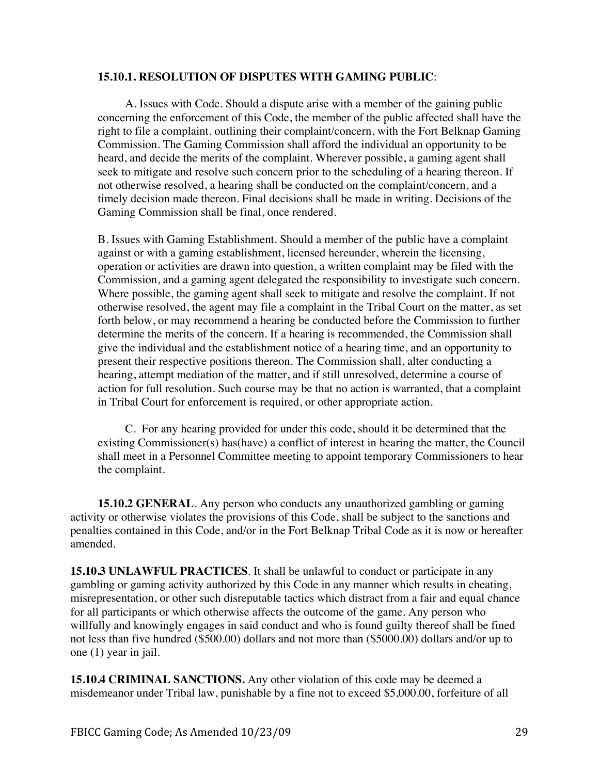#### **15.10.1. RESOLUTION OF DISPUTES WITH GAMING PUBLIC**:

A. Issues with Code. Should a dispute arise with a member of the gaining public concerning the enforcement of this Code, the member of the public affected shall have the right to file a complaint. outlining their complaint/concern, with the Fort Belknap Gaming Commission. The Gaming Commission shall afford the individual an opportunity to be heard, and decide the merits of the complaint. Wherever possible, a gaming agent shall seek to mitigate and resolve such concern prior to the scheduling of a hearing thereon. If not otherwise resolved, a hearing shall be conducted on the complaint/concern, and a timely decision made thereon. Final decisions shall be made in writing. Decisions of the Gaming Commission shall be final, once rendered.

B. Issues with Gaming Establishment. Should a member of the public have a complaint against or with a gaming establishment, licensed hereunder, wherein the licensing, operation or activities are drawn into question, a written complaint may be filed with the Commission, and a gaming agent delegated the responsibility to investigate such concern. Where possible, the gaming agent shall seek to mitigate and resolve the complaint. If not otherwise resolved, the agent may file a complaint in the Tribal Court on the matter, as set forth below, or may recommend a hearing be conducted before the Commission to further determine the merits of the concern. If a hearing is recommended, the Commission shall give the individual and the establishment notice of a hearing time, and an opportunity to present their respective positions thereon. The Commission shall, alter conducting a hearing, attempt mediation of the matter, and if still unresolved, determine a course of action for full resolution. Such course may be that no action is warranted, that a complaint in Tribal Court for enforcement is required, or other appropriate action.

C. For any hearing provided for under this code, should it be determined that the existing Commissioner(s) has(have) a conflict of interest in hearing the matter, the Council shall meet in a Personnel Committee meeting to appoint temporary Commissioners to hear the complaint.

**15.10.2 GENERAL**. Any person who conducts any unauthorized gambling or gaming activity or otherwise violates the provisions of this Code, shall be subject to the sanctions and penalties contained in this Code, and/or in the Fort Belknap Tribal Code as it is now or hereafter amended.

**15.10.3 UNLAWFUL PRACTICES**. It shall be unlawful to conduct or participate in any gambling or gaming activity authorized by this Code in any manner which results in cheating, misrepresentation, or other such disreputable tactics which distract from a fair and equal chance for all participants or which otherwise affects the outcome of the game. Any person who willfully and knowingly engages in said conduct and who is found guilty thereof shall be fined not less than five hundred (\$500.00) dollars and not more than (\$5000.00) dollars and/or up to one (1) year in jail.

**15.10.4 CRIMINAL SANCTIONS.** Any other violation of this code may be deemed a misdemeanor under Tribal law, punishable by a fine not to exceed \$5,000.00, forfeiture of all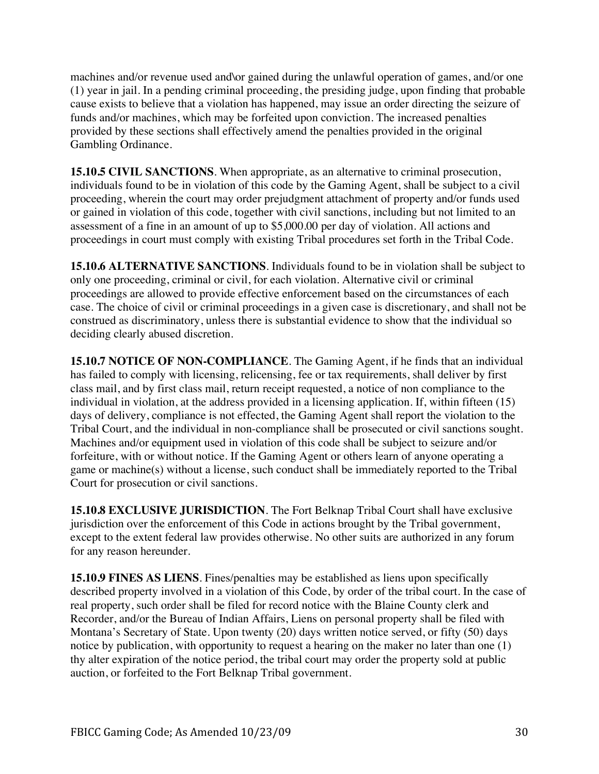machines and/or revenue used and\or gained during the unlawful operation of games, and/or one (1) year in jail. In a pending criminal proceeding, the presiding judge, upon finding that probable cause exists to believe that a violation has happened, may issue an order directing the seizure of funds and/or machines, which may be forfeited upon conviction. The increased penalties provided by these sections shall effectively amend the penalties provided in the original Gambling Ordinance.

**15.10.5 CIVIL SANCTIONS**. When appropriate, as an alternative to criminal prosecution, individuals found to be in violation of this code by the Gaming Agent, shall be subject to a civil proceeding, wherein the court may order prejudgment attachment of property and/or funds used or gained in violation of this code, together with civil sanctions, including but not limited to an assessment of a fine in an amount of up to \$5,000.00 per day of violation. All actions and proceedings in court must comply with existing Tribal procedures set forth in the Tribal Code.

**15.10.6 ALTERNATIVE SANCTIONS**. Individuals found to be in violation shall be subject to only one proceeding, criminal or civil, for each violation. Alternative civil or criminal proceedings are allowed to provide effective enforcement based on the circumstances of each case. The choice of civil or criminal proceedings in a given case is discretionary, and shall not be construed as discriminatory, unless there is substantial evidence to show that the individual so deciding clearly abused discretion.

**15.10.7 NOTICE OF NON-COMPLIANCE**. The Gaming Agent, if he finds that an individual has failed to comply with licensing, relicensing, fee or tax requirements, shall deliver by first class mail, and by first class mail, return receipt requested, a notice of non compliance to the individual in violation, at the address provided in a licensing application. If, within fifteen (15) days of delivery, compliance is not effected, the Gaming Agent shall report the violation to the Tribal Court, and the individual in non-compliance shall be prosecuted or civil sanctions sought. Machines and/or equipment used in violation of this code shall be subject to seizure and/or forfeiture, with or without notice. If the Gaming Agent or others learn of anyone operating a game or machine(s) without a license, such conduct shall be immediately reported to the Tribal Court for prosecution or civil sanctions.

**15.10.8 EXCLUSIVE JURISDICTION**. The Fort Belknap Tribal Court shall have exclusive jurisdiction over the enforcement of this Code in actions brought by the Tribal government, except to the extent federal law provides otherwise. No other suits are authorized in any forum for any reason hereunder.

**15.10.9 FINES AS LIENS**. Fines/penalties may be established as liens upon specifically described property involved in a violation of this Code, by order of the tribal court. In the case of real property, such order shall be filed for record notice with the Blaine County clerk and Recorder, and/or the Bureau of Indian Affairs, Liens on personal property shall be filed with Montana's Secretary of State. Upon twenty (20) days written notice served, or fifty (50) days notice by publication, with opportunity to request a hearing on the maker no later than one (1) thy alter expiration of the notice period, the tribal court may order the property sold at public auction, or forfeited to the Fort Belknap Tribal government.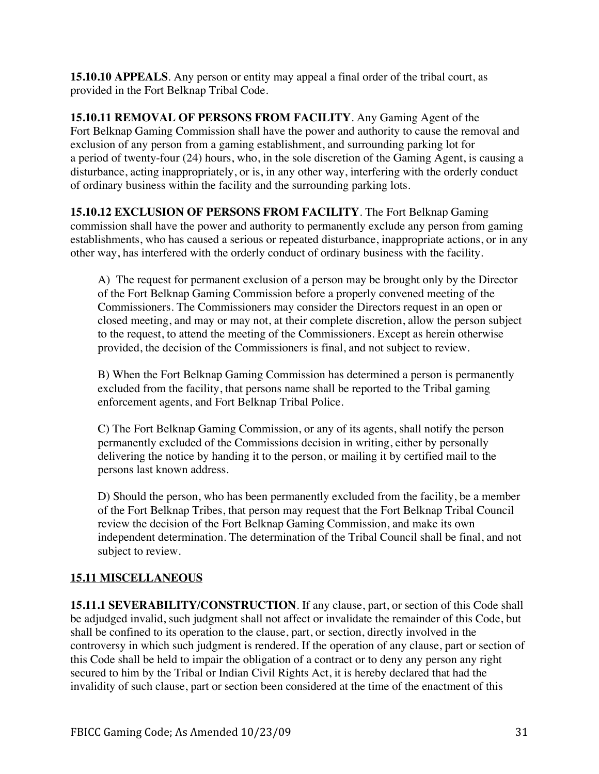**15.10.10 APPEALS**. Any person or entity may appeal a final order of the tribal court, as provided in the Fort Belknap Tribal Code.

**15.10.11 REMOVAL OF PERSONS FROM FACILITY**. Any Gaming Agent of the Fort Belknap Gaming Commission shall have the power and authority to cause the removal and exclusion of any person from a gaming establishment, and surrounding parking lot for a period of twenty-four (24) hours, who, in the sole discretion of the Gaming Agent, is causing a disturbance, acting inappropriately, or is, in any other way, interfering with the orderly conduct of ordinary business within the facility and the surrounding parking lots.

**15.10.12 EXCLUSION OF PERSONS FROM FACILITY**. The Fort Belknap Gaming commission shall have the power and authority to permanently exclude any person from gaming establishments, who has caused a serious or repeated disturbance, inappropriate actions, or in any other way, has interfered with the orderly conduct of ordinary business with the facility.

A) The request for permanent exclusion of a person may be brought only by the Director of the Fort Belknap Gaming Commission before a properly convened meeting of the Commissioners. The Commissioners may consider the Directors request in an open or closed meeting, and may or may not, at their complete discretion, allow the person subject to the request, to attend the meeting of the Commissioners. Except as herein otherwise provided, the decision of the Commissioners is final, and not subject to review.

B) When the Fort Belknap Gaming Commission has determined a person is permanently excluded from the facility, that persons name shall be reported to the Tribal gaming enforcement agents, and Fort Belknap Tribal Police.

C) The Fort Belknap Gaming Commission, or any of its agents, shall notify the person permanently excluded of the Commissions decision in writing, either by personally delivering the notice by handing it to the person, or mailing it by certified mail to the persons last known address.

D) Should the person, who has been permanently excluded from the facility, be a member of the Fort Belknap Tribes, that person may request that the Fort Belknap Tribal Council review the decision of the Fort Belknap Gaming Commission, and make its own independent determination. The determination of the Tribal Council shall be final, and not subject to review.

# **15.11 MISCELLANEOUS**

**15.11.1 SEVERABILITY/CONSTRUCTION**. If any clause, part, or section of this Code shall be adjudged invalid, such judgment shall not affect or invalidate the remainder of this Code, but shall be confined to its operation to the clause, part, or section, directly involved in the controversy in which such judgment is rendered. If the operation of any clause, part or section of this Code shall be held to impair the obligation of a contract or to deny any person any right secured to him by the Tribal or Indian Civil Rights Act, it is hereby declared that had the invalidity of such clause, part or section been considered at the time of the enactment of this